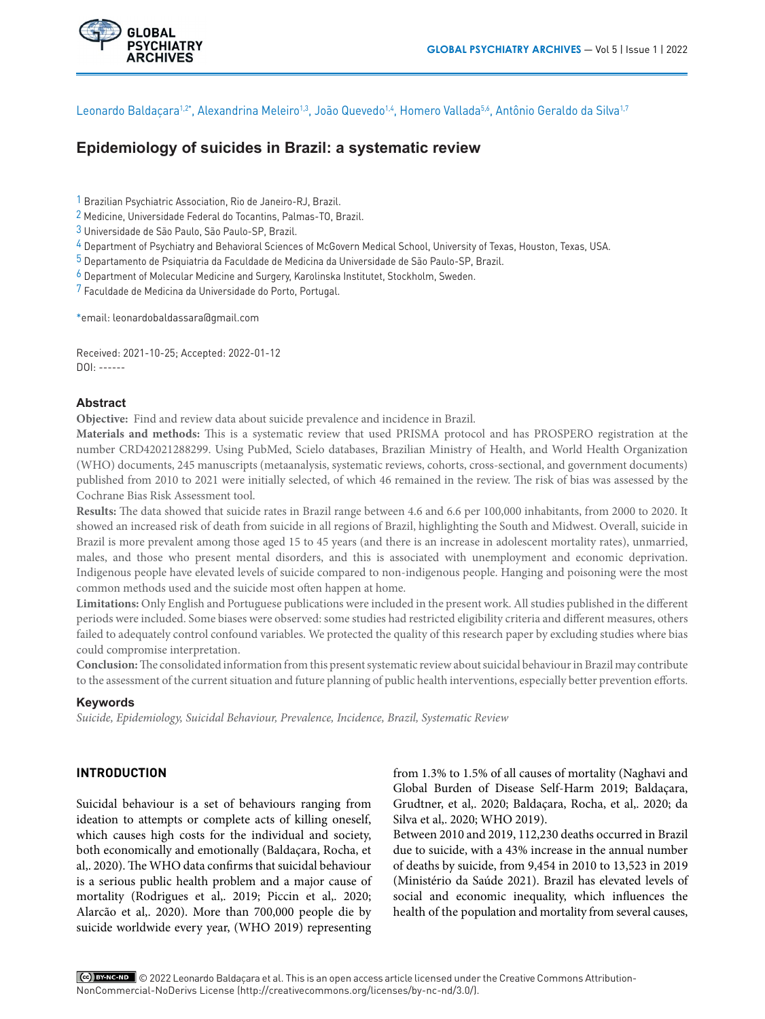

Leonardo Baldacara<sup>1,2\*</sup>, Alexandrina Meleiro<sup>1,3</sup>, João Quevedo<sup>1,4</sup>, Homero Vallada<sup>5,6</sup>, Antônio Geraldo da Silva<sup>1,7</sup>

# **Epidemiology of suicides in Brazil: a systematic review**

1 Brazilian Psychiatric Association, Rio de Janeiro-RJ, Brazil.

2 Medicine, Universidade Federal do Tocantins, Palmas-TO, Brazil.

3 Universidade de São Paulo, São Paulo-SP, Brazil.

4 Department of Psychiatry and Behavioral Sciences of McGovern Medical School, University of Texas, Houston, Texas, USA.

5 Departamento de Psiquiatria da Faculdade de Medicina da Universidade de São Paulo-SP, Brazil.

6 Department of Molecular Medicine and Surgery, Karolinska Institutet, Stockholm, Sweden.

7 Faculdade de Medicina da Universidade do Porto, Portugal.

\*email: leonardobaldassara@gmail.com

Received: 2021-10-25; Accepted: 2022-01-12 DOI: ------

# **Abstract**

**Objective:** Find and review data about suicide prevalence and incidence in Brazil.

**Materials and methods:** This is a systematic review that used PRISMA protocol and has PROSPERO registration at the number CRD42021288299. Using PubMed, Scielo databases, Brazilian Ministry of Health, and World Health Organization (WHO) documents, 245 manuscripts (metaanalysis, systematic reviews, cohorts, cross-sectional, and government documents) published from 2010 to 2021 were initially selected, of which 46 remained in the review. The risk of bias was assessed by the Cochrane Bias Risk Assessment tool.

**Results:** The data showed that suicide rates in Brazil range between 4.6 and 6.6 per 100,000 inhabitants, from 2000 to 2020. It showed an increased risk of death from suicide in all regions of Brazil, highlighting the South and Midwest. Overall, suicide in Brazil is more prevalent among those aged 15 to 45 years (and there is an increase in adolescent mortality rates), unmarried, males, and those who present mental disorders, and this is associated with unemployment and economic deprivation. Indigenous people have elevated levels of suicide compared to non-indigenous people. Hanging and poisoning were the most common methods used and the suicide most often happen at home.

**Limitations:** Only English and Portuguese publications were included in the present work. All studies published in the different periods were included. Some biases were observed: some studies had restricted eligibility criteria and different measures, others failed to adequately control confound variables. We protected the quality of this research paper by excluding studies where bias could compromise interpretation.

**Conclusion:** The consolidated information from this present systematic review about suicidal behaviour in Brazil may contribute to the assessment of the current situation and future planning of public health interventions, especially better prevention efforts.

## **Keywords**

*Suicide, Epidemiology, Suicidal Behaviour, Prevalence, Incidence, Brazil, Systematic Review*

# **INTRODUCTION**

Suicidal behaviour is a set of behaviours ranging from ideation to attempts or complete acts of killing oneself, which causes high costs for the individual and society, both economically and emotionally (Baldaçara, Rocha, et al,. 2020). The WHO data confirms that suicidal behaviour is a serious public health problem and a major cause of mortality (Rodrigues et al,. 2019; Piccin et al,. 2020; Alarcão et al,. 2020). More than 700,000 people die by suicide worldwide every year, (WHO 2019) representing from 1.3% to 1.5% of all causes of mortality (Naghavi and Global Burden of Disease Self-Harm 2019; Baldaçara, Grudtner, et al,. 2020; Baldaçara, Rocha, et al,. 2020; da Silva et al,. 2020; WHO 2019).

Between 2010 and 2019, 112,230 deaths occurred in Brazil due to suicide, with a 43% increase in the annual number of deaths by suicide, from 9,454 in 2010 to 13,523 in 2019 (Ministério da Saúde 2021). Brazil has elevated levels of social and economic inequality, which influences the health of the population and mortality from several causes,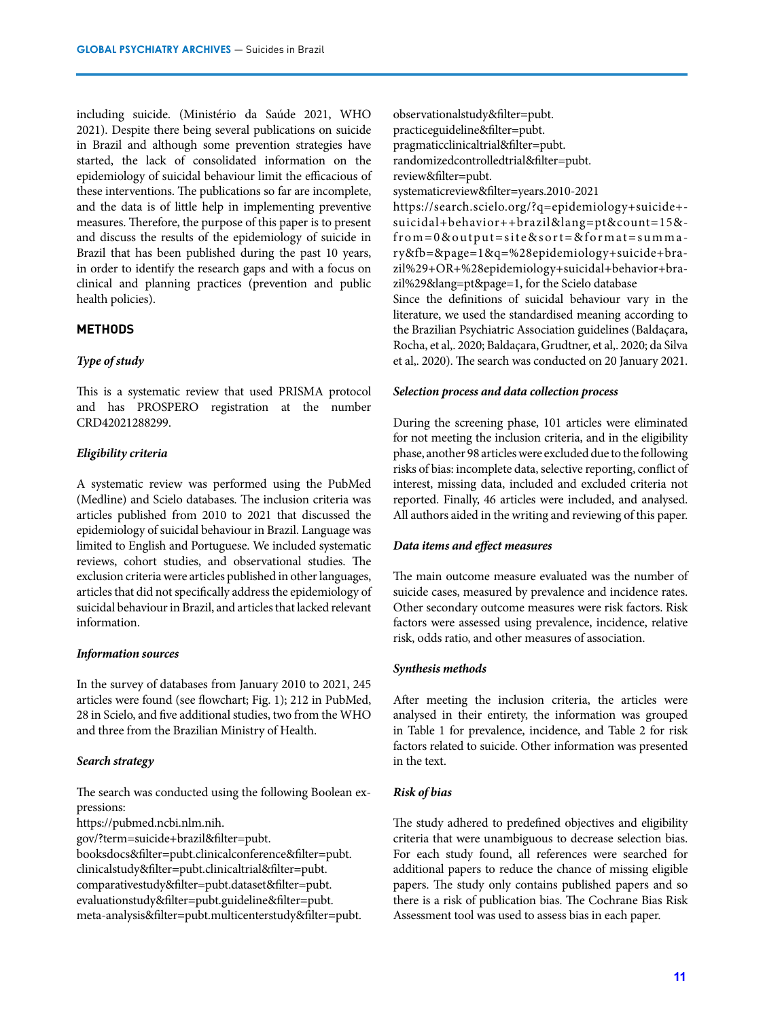including suicide. (Ministério da Saúde 2021, WHO 2021). Despite there being several publications on suicide in Brazil and although some prevention strategies have started, the lack of consolidated information on the epidemiology of suicidal behaviour limit the efficacious of these interventions. The publications so far are incomplete, and the data is of little help in implementing preventive measures. Therefore, the purpose of this paper is to present and discuss the results of the epidemiology of suicide in Brazil that has been published during the past 10 years, in order to identify the research gaps and with a focus on clinical and planning practices (prevention and public health policies).

## **METHODS**

## *Type of study*

This is a systematic review that used PRISMA protocol and has PROSPERO registration at the number CRD42021288299.

## *Eligibility criteria*

A systematic review was performed using the PubMed (Medline) and Scielo databases. The inclusion criteria was articles published from 2010 to 2021 that discussed the epidemiology of suicidal behaviour in Brazil. Language was limited to English and Portuguese. We included systematic reviews, cohort studies, and observational studies. The exclusion criteria were articles published in other languages, articles that did not specifically address the epidemiology of suicidal behaviour in Brazil, and articles that lacked relevant information.

#### *Information sources*

In the survey of databases from January 2010 to 2021, 245 articles were found (see flowchart; Fig. 1); 212 in PubMed, 28 in Scielo, and five additional studies, two from the WHO and three from the Brazilian Ministry of Health.

## *Search strategy*

The search was conducted using the following Boolean expressions:

https://pubmed.ncbi.nlm.nih.

gov/?term=suicide+brazil&filter=pubt.

booksdocs&filter=pubt.clinicalconference&filter=pubt. clinicalstudy&filter=pubt.clinicaltrial&filter=pubt. comparativestudy&filter=pubt.dataset&filter=pubt. evaluationstudy&filter=pubt.guideline&filter=pubt. meta-analysis&filter=pubt.multicenterstudy&filter=pubt.

observationalstudy&filter=pubt. practiceguideline&filter=pubt. pragmaticclinicaltrial&filter=pubt. randomizedcontrolledtrial&filter=pubt. review&filter=pubt.

systematicreview&filter=years.2010-2021

https://search.scielo.org/?q=epidemiology+suicide+ suicidal+behavior++brazil&lang=pt&count=15& from=0&output=site&sort=&format=summa ry&fb=&page=1&q=%28epidemiology+suicide+brazil%29+OR+%28epidemiology+suicidal+behavior+brazil%29&lang=pt&page=1, for the Scielo database

Since the definitions of suicidal behaviour vary in the literature, we used the standardised meaning according to the Brazilian Psychiatric Association guidelines (Baldaçara, Rocha, et al,. 2020; Baldaçara, Grudtner, et al,. 2020; da Silva et al,. 2020). The search was conducted on 20 January 2021.

### *Selection process and data collection process*

During the screening phase, 101 articles were eliminated for not meeting the inclusion criteria, and in the eligibility phase, another 98 articles were excluded due to the following risks of bias: incomplete data, selective reporting, conflict of interest, missing data, included and excluded criteria not reported. Finally, 46 articles were included, and analysed. All authors aided in the writing and reviewing of this paper.

#### *Data items and effect measures*

The main outcome measure evaluated was the number of suicide cases, measured by prevalence and incidence rates. Other secondary outcome measures were risk factors. Risk factors were assessed using prevalence, incidence, relative risk, odds ratio, and other measures of association.

### *Synthesis methods*

After meeting the inclusion criteria, the articles were analysed in their entirety, the information was grouped in Table 1 for prevalence, incidence, and Table 2 for risk factors related to suicide. Other information was presented in the text.

## *Risk of bias*

The study adhered to predefined objectives and eligibility criteria that were unambiguous to decrease selection bias. For each study found, all references were searched for additional papers to reduce the chance of missing eligible papers. The study only contains published papers and so there is a risk of publication bias. The Cochrane Bias Risk Assessment tool was used to assess bias in each paper.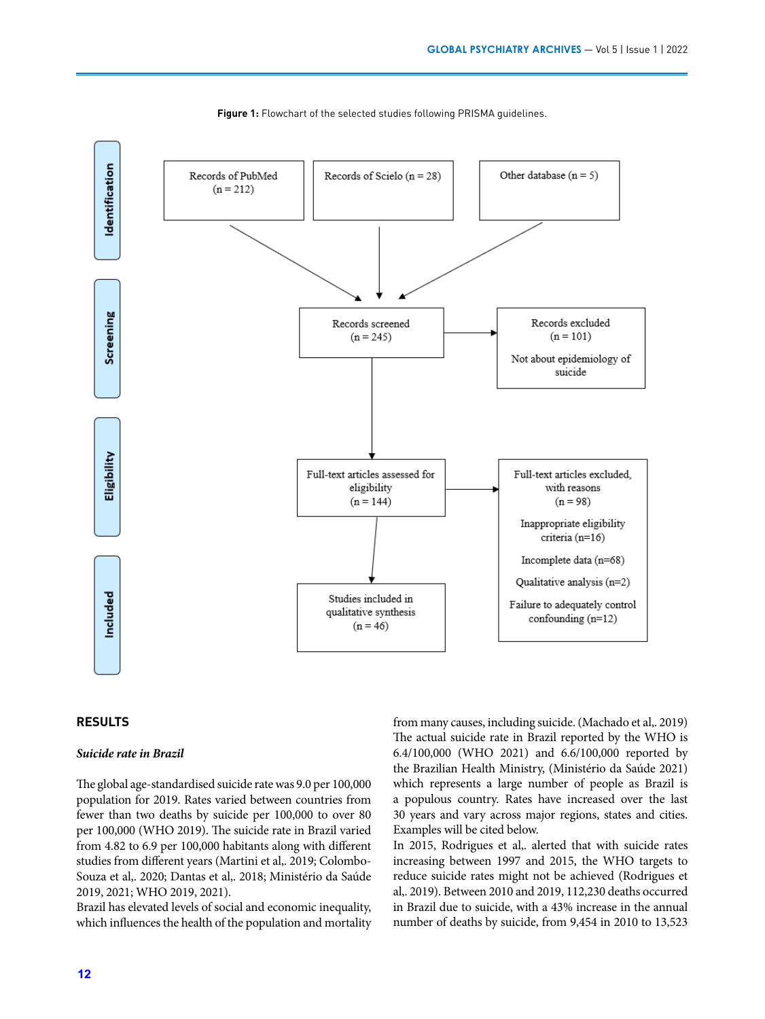

**Figure 1:** Flowchart of the selected studies following PRISMA guidelines.

## **RESULTS**

#### *Suicide rate in Brazil*

The global age-standardised suicide rate was 9.0 per 100,000 population for 2019. Rates varied between countries from fewer than two deaths by suicide per 100,000 to over 80 per 100,000 (WHO 2019). The suicide rate in Brazil varied from 4.82 to 6.9 per 100,000 habitants along with different studies from different years (Martini et al,. 2019; Colombo-Souza et al,. 2020; Dantas et al,. 2018; Ministério da Saúde 2019, 2021; WHO 2019, 2021).

Brazil has elevated levels of social and economic inequality, which influences the health of the population and mortality from many causes, including suicide. (Machado et al,. 2019) The actual suicide rate in Brazil reported by the WHO is 6.4/100,000 (WHO 2021) and 6.6/100,000 reported by the Brazilian Health Ministry, (Ministério da Saúde 2021) which represents a large number of people as Brazil is a populous country. Rates have increased over the last 30 years and vary across major regions, states and cities. Examples will be cited below.

In 2015, Rodrigues et al,. alerted that with suicide rates increasing between 1997 and 2015, the WHO targets to reduce suicide rates might not be achieved (Rodrigues et al,. 2019). Between 2010 and 2019, 112,230 deaths occurred in Brazil due to suicide, with a 43% increase in the annual number of deaths by suicide, from 9,454 in 2010 to 13,523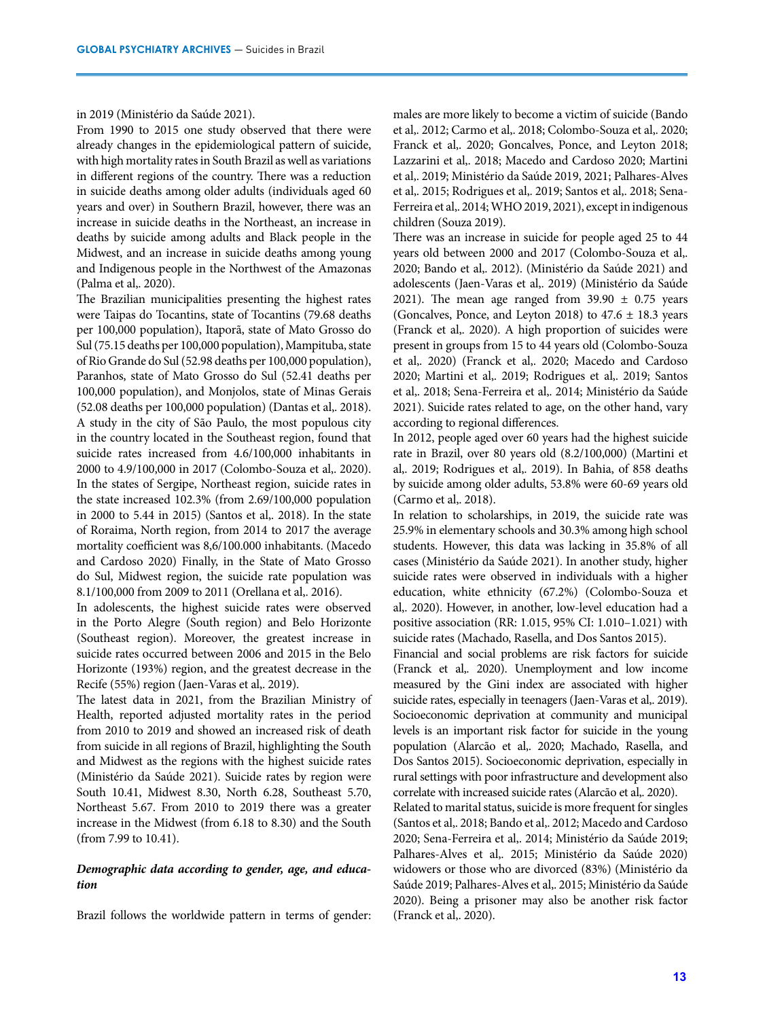#### in 2019 (Ministério da Saúde 2021).

From 1990 to 2015 one study observed that there were already changes in the epidemiological pattern of suicide, with high mortality rates in South Brazil as well as variations in different regions of the country. There was a reduction in suicide deaths among older adults (individuals aged 60 years and over) in Southern Brazil, however, there was an increase in suicide deaths in the Northeast, an increase in deaths by suicide among adults and Black people in the Midwest, and an increase in suicide deaths among young and Indigenous people in the Northwest of the Amazonas (Palma et al,. 2020).

The Brazilian municipalities presenting the highest rates were Taipas do Tocantins, state of Tocantins (79.68 deaths per 100,000 population), Itaporã, state of Mato Grosso do Sul (75.15 deaths per 100,000 population), Mampituba, state of Rio Grande do Sul (52.98 deaths per 100,000 population), Paranhos, state of Mato Grosso do Sul (52.41 deaths per 100,000 population), and Monjolos, state of Minas Gerais (52.08 deaths per 100,000 population) (Dantas et al,. 2018). A study in the city of São Paulo, the most populous city in the country located in the Southeast region, found that suicide rates increased from 4.6/100,000 inhabitants in 2000 to 4.9/100,000 in 2017 (Colombo-Souza et al,. 2020). In the states of Sergipe, Northeast region, suicide rates in the state increased 102.3% (from 2.69/100,000 population in 2000 to 5.44 in 2015) (Santos et al,. 2018). In the state of Roraima, North region, from 2014 to 2017 the average mortality coefficient was 8,6/100.000 inhabitants. (Macedo and Cardoso 2020) Finally, in the State of Mato Grosso do Sul, Midwest region, the suicide rate population was 8.1/100,000 from 2009 to 2011 (Orellana et al,. 2016).

In adolescents, the highest suicide rates were observed in the Porto Alegre (South region) and Belo Horizonte (Southeast region). Moreover, the greatest increase in suicide rates occurred between 2006 and 2015 in the Belo Horizonte (193%) region, and the greatest decrease in the Recife (55%) region (Jaen-Varas et al,. 2019).

The latest data in 2021, from the Brazilian Ministry of Health, reported adjusted mortality rates in the period from 2010 to 2019 and showed an increased risk of death from suicide in all regions of Brazil, highlighting the South and Midwest as the regions with the highest suicide rates (Ministério da Saúde 2021). Suicide rates by region were South 10.41, Midwest 8.30, North 6.28, Southeast 5.70, Northeast 5.67. From 2010 to 2019 there was a greater increase in the Midwest (from 6.18 to 8.30) and the South (from 7.99 to 10.41).

## *Demographic data according to gender, age, and education*

Brazil follows the worldwide pattern in terms of gender:

males are more likely to become a victim of suicide (Bando et al,. 2012; Carmo et al,. 2018; Colombo-Souza et al,. 2020; Franck et al,. 2020; Goncalves, Ponce, and Leyton 2018; Lazzarini et al,. 2018; Macedo and Cardoso 2020; Martini et al,. 2019; Ministério da Saúde 2019, 2021; Palhares-Alves et al,. 2015; Rodrigues et al,. 2019; Santos et al,. 2018; Sena-Ferreira et al,. 2014; WHO 2019, 2021), except in indigenous children (Souza 2019).

There was an increase in suicide for people aged 25 to 44 years old between 2000 and 2017 (Colombo-Souza et al,. 2020; Bando et al,. 2012). (Ministério da Saúde 2021) and adolescents (Jaen-Varas et al,. 2019) (Ministério da Saúde 2021). The mean age ranged from  $39.90 \pm 0.75$  years (Goncalves, Ponce, and Leyton 2018) to  $47.6 \pm 18.3$  years (Franck et al,. 2020). A high proportion of suicides were present in groups from 15 to 44 years old (Colombo-Souza et al,. 2020) (Franck et al,. 2020; Macedo and Cardoso 2020; Martini et al,. 2019; Rodrigues et al,. 2019; Santos et al,. 2018; Sena-Ferreira et al,. 2014; Ministério da Saúde 2021). Suicide rates related to age, on the other hand, vary according to regional differences.

In 2012, people aged over 60 years had the highest suicide rate in Brazil, over 80 years old (8.2/100,000) (Martini et al,. 2019; Rodrigues et al,. 2019). In Bahia, of 858 deaths by suicide among older adults, 53.8% were 60-69 years old (Carmo et al,. 2018).

In relation to scholarships, in 2019, the suicide rate was 25.9% in elementary schools and 30.3% among high school students. However, this data was lacking in 35.8% of all cases (Ministério da Saúde 2021). In another study, higher suicide rates were observed in individuals with a higher education, white ethnicity (67.2%) (Colombo-Souza et al,. 2020). However, in another, low-level education had a positive association (RR: 1.015, 95% CI: 1.010–1.021) with suicide rates (Machado, Rasella, and Dos Santos 2015).

Financial and social problems are risk factors for suicide (Franck et al,. 2020). Unemployment and low income measured by the Gini index are associated with higher suicide rates, especially in teenagers (Jaen-Varas et al,. 2019). Socioeconomic deprivation at community and municipal levels is an important risk factor for suicide in the young population (Alarcão et al,. 2020; Machado, Rasella, and Dos Santos 2015). Socioeconomic deprivation, especially in rural settings with poor infrastructure and development also correlate with increased suicide rates (Alarcão et al,. 2020).

Related to marital status, suicide is more frequent for singles (Santos et al,. 2018; Bando et al,. 2012; Macedo and Cardoso 2020; Sena-Ferreira et al,. 2014; Ministério da Saúde 2019; Palhares-Alves et al,. 2015; Ministério da Saúde 2020) widowers or those who are divorced (83%) (Ministério da Saúde 2019; Palhares-Alves et al,. 2015; Ministério da Saúde 2020). Being a prisoner may also be another risk factor (Franck et al,. 2020).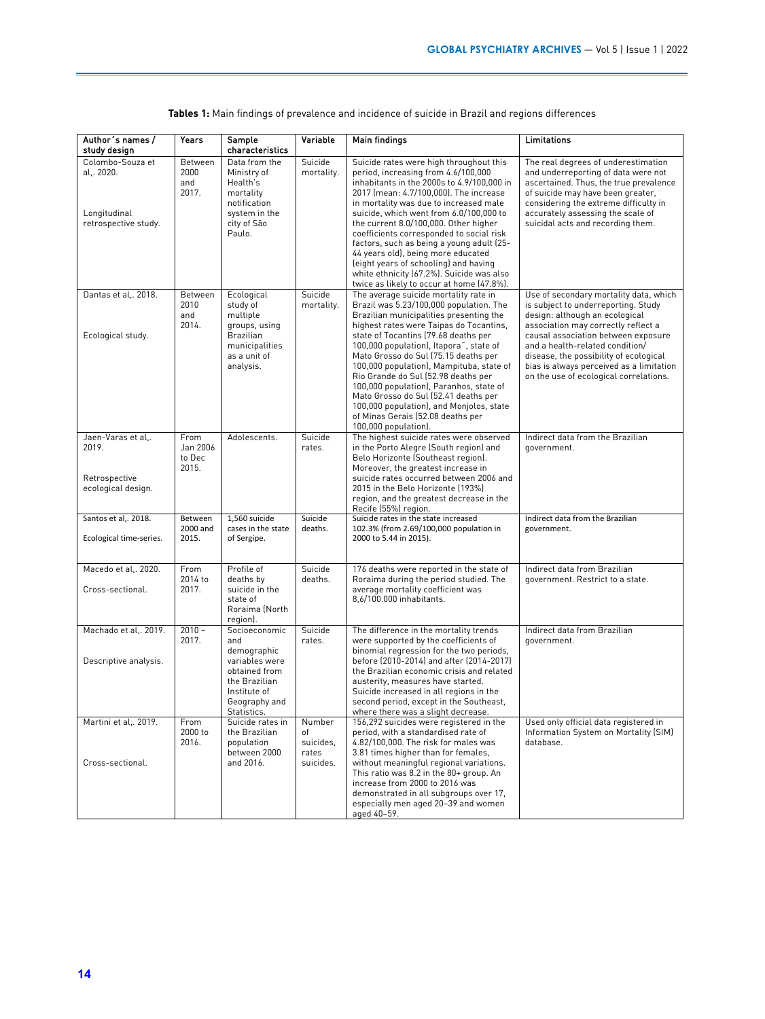| Author's names /<br>study design                                     | Years                               | Sample<br>characteristics                                                                                                               | Variable                                        | <b>Main findings</b>                                                                                                                                                                                                                                                                                                                                                                                                                                                                                                                                                                          | Limitations                                                                                                                                                                                                                                                                                                                                                      |
|----------------------------------------------------------------------|-------------------------------------|-----------------------------------------------------------------------------------------------------------------------------------------|-------------------------------------------------|-----------------------------------------------------------------------------------------------------------------------------------------------------------------------------------------------------------------------------------------------------------------------------------------------------------------------------------------------------------------------------------------------------------------------------------------------------------------------------------------------------------------------------------------------------------------------------------------------|------------------------------------------------------------------------------------------------------------------------------------------------------------------------------------------------------------------------------------------------------------------------------------------------------------------------------------------------------------------|
| Colombo-Souza et<br>al 2020.<br>Longitudinal<br>retrospective study. | Between<br>2000<br>and<br>2017.     | Data from the<br>Ministry of<br>Health's<br>mortality<br>notification<br>system in the<br>city of São<br>Paulo.                         | Suicide<br>mortality.                           | Suicide rates were high throughout this<br>period, increasing from 4.6/100,000<br>inhabitants in the 2000s to 4.9/100,000 in<br>2017 (mean: 4.7/100,000). The increase<br>in mortality was due to increased male<br>suicide, which went from 6.0/100,000 to<br>the current 8.0/100,000. Other higher<br>coefficients corresponded to social risk<br>factors, such as being a young adult (25-<br>44 years old), being more educated<br>(eight years of schooling) and having<br>white ethnicity (67.2%). Suicide was also<br>twice as likely to occur at home (47.8%).                        | The real degrees of underestimation<br>and underreporting of data were not<br>ascertained. Thus, the true prevalence<br>of suicide may have been greater,<br>considering the extreme difficulty in<br>accurately assessing the scale of<br>suicidal acts and recording them.                                                                                     |
| Dantas et al,. 2018.<br>Ecological study.                            | Between<br>2010<br>and<br>2014.     | Ecological<br>study of<br>multiple<br>groups, using<br>Brazilian<br>municipalities<br>as a unit of<br>analysis.                         | Suicide<br>mortality.                           | The average suicide mortality rate in<br>Brazil was 5.23/100,000 population. The<br>Brazilian municipalities presenting the<br>highest rates were Taipas do Tocantins,<br>state of Tocantins (79.68 deaths per<br>100,000 population), Itapora <sup>*</sup> , state of<br>Mato Grosso do Sul (75.15 deaths per<br>100,000 population), Mampituba, state of<br>Rio Grande do Sul (52.98 deaths per<br>100,000 population), Paranhos, state of<br>Mato Grosso do Sul (52.41 deaths per<br>100,000 population), and Monjolos, state<br>of Minas Gerais (52.08 deaths per<br>100,000 population). | Use of secondary mortality data, which<br>is subject to underreporting. Study<br>design: although an ecological<br>association may correctly reflect a<br>causal association between exposure<br>and a health-related condition/<br>disease, the possibility of ecological<br>bias is always perceived as a limitation<br>on the use of ecological correlations. |
| Jaen-Varas et al<br>2019.<br>Retrospective<br>ecological design.     | From<br>Jan 2006<br>to Dec<br>2015. | Adolescents.                                                                                                                            | Suicide<br>rates.                               | The highest suicide rates were observed<br>in the Porto Alegre (South region) and<br>Belo Horizonte (Southeast region).<br>Moreover, the greatest increase in<br>suicide rates occurred between 2006 and<br>2015 in the Belo Horizonte (193%)<br>region, and the greatest decrease in the<br>Recife (55%) region.                                                                                                                                                                                                                                                                             | Indirect data from the Brazilian<br>government.                                                                                                                                                                                                                                                                                                                  |
| Santos et al,. 2018.<br>Ecological time-series.                      | Between<br>2000 and<br>2015.        | 1,560 suicide<br>cases in the state<br>of Sergipe.                                                                                      | Suicide<br>deaths.                              | Suicide rates in the state increased<br>102.3% (from 2.69/100,000 population in<br>2000 to 5.44 in 2015).                                                                                                                                                                                                                                                                                                                                                                                                                                                                                     | Indirect data from the Brazilian<br>government.                                                                                                                                                                                                                                                                                                                  |
| Macedo et al., 2020.<br>Cross-sectional.                             | From<br>2014 to<br>2017.            | Profile of<br>deaths by<br>suicide in the<br>state of<br>Roraima (North<br>region).                                                     | Suicide<br>deaths.                              | 176 deaths were reported in the state of<br>Roraima during the period studied. The<br>average mortality coefficient was<br>8,6/100.000 inhabitants.                                                                                                                                                                                                                                                                                                                                                                                                                                           | Indirect data from Brazilian<br>government. Restrict to a state.                                                                                                                                                                                                                                                                                                 |
| Machado et al., 2019.<br>Descriptive analysis.                       | $2010 -$<br>2017.                   | Socioeconomic<br>and<br>demographic<br>variables were<br>obtained from<br>the Brazilian<br>Institute of<br>Geography and<br>Statistics. | Suicide<br>rates.                               | The difference in the mortality trends<br>were supported by the coefficients of<br>binomial regression for the two periods,<br>before (2010-2014) and after (2014-2017)<br>the Brazilian economic crisis and related<br>austerity, measures have started.<br>Suicide increased in all regions in the<br>second period, except in the Southeast,<br>where there was a slight decrease.                                                                                                                                                                                                         | Indirect data from Brazilian<br>government.                                                                                                                                                                                                                                                                                                                      |
| Martini et al,. 2019.<br>Cross-sectional.                            | From<br>2000 to<br>2016.            | Suicide rates in<br>the Brazilian<br>population<br>between 2000<br>and 2016.                                                            | Number<br>of<br>suicides,<br>rates<br>suicides. | 156,292 suicides were registered in the<br>period, with a standardised rate of<br>4.82/100,000. The risk for males was<br>3.81 times higher than for females,<br>without meaningful regional variations.<br>This ratio was 8.2 in the 80+ group. An<br>increase from 2000 to 2016 was<br>demonstrated in all subgroups over 17,<br>especially men aged 20-39 and women<br>aged 40-59.                                                                                                                                                                                                         | Used only official data registered in<br>Information System on Mortality (SIM)<br>database.                                                                                                                                                                                                                                                                      |

**Tables 1:** Main findings of prevalence and incidence of suicide in Brazil and regions differences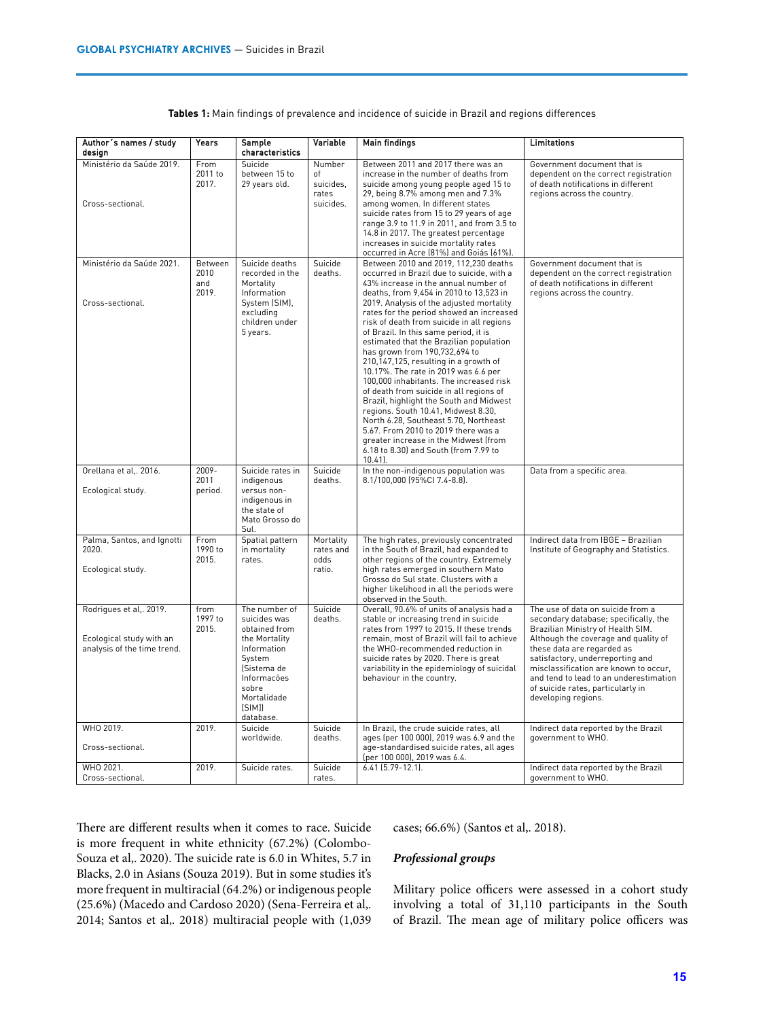| Author's names / study<br>desian                                                   | Years                           | Sample<br>characteristics                                                                                                                                             | Variable                                        | <b>Main findings</b>                                                                                                                                                                                                                                                                                                                                                                                                                                                                                                                                                                                                                                                                                                                                                                                                                                                    | Limitations                                                                                                                                                                                                                                                                                                                                                              |
|------------------------------------------------------------------------------------|---------------------------------|-----------------------------------------------------------------------------------------------------------------------------------------------------------------------|-------------------------------------------------|-------------------------------------------------------------------------------------------------------------------------------------------------------------------------------------------------------------------------------------------------------------------------------------------------------------------------------------------------------------------------------------------------------------------------------------------------------------------------------------------------------------------------------------------------------------------------------------------------------------------------------------------------------------------------------------------------------------------------------------------------------------------------------------------------------------------------------------------------------------------------|--------------------------------------------------------------------------------------------------------------------------------------------------------------------------------------------------------------------------------------------------------------------------------------------------------------------------------------------------------------------------|
| Ministério da Saúde 2019.<br>Cross-sectional.                                      | From<br>2011 to<br>2017.        | Suicide<br>between 15 to<br>29 years old.                                                                                                                             | Number<br>of<br>suicides,<br>rates<br>suicides. | Between 2011 and 2017 there was an<br>increase in the number of deaths from<br>suicide among young people aged 15 to<br>29, being 8.7% among men and 7.3%<br>among women. In different states<br>suicide rates from 15 to 29 years of age<br>range 3.9 to 11.9 in 2011, and from 3.5 to<br>14.8 in 2017. The greatest percentage<br>increases in suicide mortality rates<br>occurred in Acre (81%) and Goiás (61%).                                                                                                                                                                                                                                                                                                                                                                                                                                                     | Government document that is<br>dependent on the correct registration<br>of death notifications in different<br>regions across the country.                                                                                                                                                                                                                               |
| Ministério da Saúde 2021.<br>Cross-sectional.                                      | Between<br>2010<br>and<br>2019. | Suicide deaths<br>recorded in the<br>Mortality<br>Information<br>System (SIM),<br>excluding<br>children under<br>5 years.                                             | Suicide<br>deaths.                              | Between 2010 and 2019, 112,230 deaths<br>occurred in Brazil due to suicide, with a<br>43% increase in the annual number of<br>deaths, from 9,454 in 2010 to 13,523 in<br>2019. Analysis of the adjusted mortality<br>rates for the period showed an increased<br>risk of death from suicide in all regions<br>of Brazil. In this same period, it is<br>estimated that the Brazilian population<br>has grown from 190,732,694 to<br>210,147,125, resulting in a growth of<br>10.17%. The rate in 2019 was 6.6 per<br>100,000 inhabitants. The increased risk<br>of death from suicide in all regions of<br>Brazil, highlight the South and Midwest<br>regions. South 10.41, Midwest 8.30,<br>North 6.28, Southeast 5.70, Northeast<br>5.67. From 2010 to 2019 there was a<br>greater increase in the Midwest (from<br>6.18 to 8.30) and South (from 7.99 to<br>$10.41$ . | Government document that is<br>dependent on the correct registration<br>of death notifications in different<br>regions across the country.                                                                                                                                                                                                                               |
| Orellana et al., 2016.<br>Ecological study.                                        | 2009-<br>2011<br>period.        | Suicide rates in<br>indigenous<br>versus non-<br>indigenous in<br>the state of<br>Mato Grosso do<br>Sul.                                                              | Suicide<br>deaths.                              | In the non-indigenous population was<br>8.1/100,000 (95%CI 7.4-8.8).                                                                                                                                                                                                                                                                                                                                                                                                                                                                                                                                                                                                                                                                                                                                                                                                    | Data from a specific area.                                                                                                                                                                                                                                                                                                                                               |
| Palma, Santos, and Ignotti<br>2020.<br>Ecological study.                           | From<br>1990 to<br>2015.        | Spatial pattern<br>in mortality<br>rates.                                                                                                                             | Mortality<br>rates and<br>odds<br>ratio.        | The high rates, previously concentrated<br>in the South of Brazil, had expanded to<br>other regions of the country. Extremely<br>high rates emerged in southern Mato<br>Grosso do Sul state. Clusters with a<br>higher likelihood in all the periods were<br>observed in the South.                                                                                                                                                                                                                                                                                                                                                                                                                                                                                                                                                                                     | Indirect data from IBGE - Brazilian<br>Institute of Geography and Statistics.                                                                                                                                                                                                                                                                                            |
| Rodrigues et al,. 2019.<br>Ecological study with an<br>analysis of the time trend. | from<br>1997 to<br>2015.        | The number of<br>suicides was<br>obtained from<br>the Mortality<br>Information<br>System<br>(Sistema de<br>Informações<br>sobre<br>Mortalidade<br>[SIM]]<br>database. | Suicide<br>deaths.                              | Overall, 90.6% of units of analysis had a<br>stable or increasing trend in suicide<br>rates from 1997 to 2015. If these trends<br>remain, most of Brazil will fail to achieve<br>the WHO-recommended reduction in<br>suicide rates by 2020. There is great<br>variability in the epidemiology of suicidal<br>behaviour in the country.                                                                                                                                                                                                                                                                                                                                                                                                                                                                                                                                  | The use of data on suicide from a<br>secondary database; specifically, the<br>Brazilian Ministry of Health SIM.<br>Although the coverage and quality of<br>these data are regarded as<br>satisfactory, underreporting and<br>misclassification are known to occur,<br>and tend to lead to an underestimation<br>of suicide rates, particularly in<br>developing regions. |
| WHO 2019.<br>Cross-sectional.                                                      | 2019.                           | Suicide<br>worldwide.                                                                                                                                                 | Suicide<br>deaths.                              | In Brazil, the crude suicide rates, all<br>ages (per 100 000), 2019 was 6.9 and the<br>age-standardised suicide rates, all ages                                                                                                                                                                                                                                                                                                                                                                                                                                                                                                                                                                                                                                                                                                                                         | Indirect data reported by the Brazil<br>government to WHO.                                                                                                                                                                                                                                                                                                               |
| WHO 2021.<br>Cross-sectional.                                                      | 2019.                           | Suicide rates.                                                                                                                                                        | Suicide<br>rates.                               | (per 100 000), 2019 was 6.4.<br>$6.41$ (5.79-12.1).                                                                                                                                                                                                                                                                                                                                                                                                                                                                                                                                                                                                                                                                                                                                                                                                                     | Indirect data reported by the Brazil<br>government to WHO.                                                                                                                                                                                                                                                                                                               |

**Tables 1:** Main findings of prevalence and incidence of suicide in Brazil and regions differences

There are different results when it comes to race. Suicide is more frequent in white ethnicity (67.2%) (Colombo-Souza et al,. 2020). The suicide rate is 6.0 in Whites, 5.7 in Blacks, 2.0 in Asians (Souza 2019). But in some studies it's more frequent in multiracial (64.2%) or indigenous people (25.6%) (Macedo and Cardoso 2020) (Sena-Ferreira et al,. 2014; Santos et al,. 2018) multiracial people with (1,039 cases; 66.6%) (Santos et al,. 2018).

### *Professional groups*

Military police officers were assessed in a cohort study involving a total of 31,110 participants in the South of Brazil. The mean age of military police officers was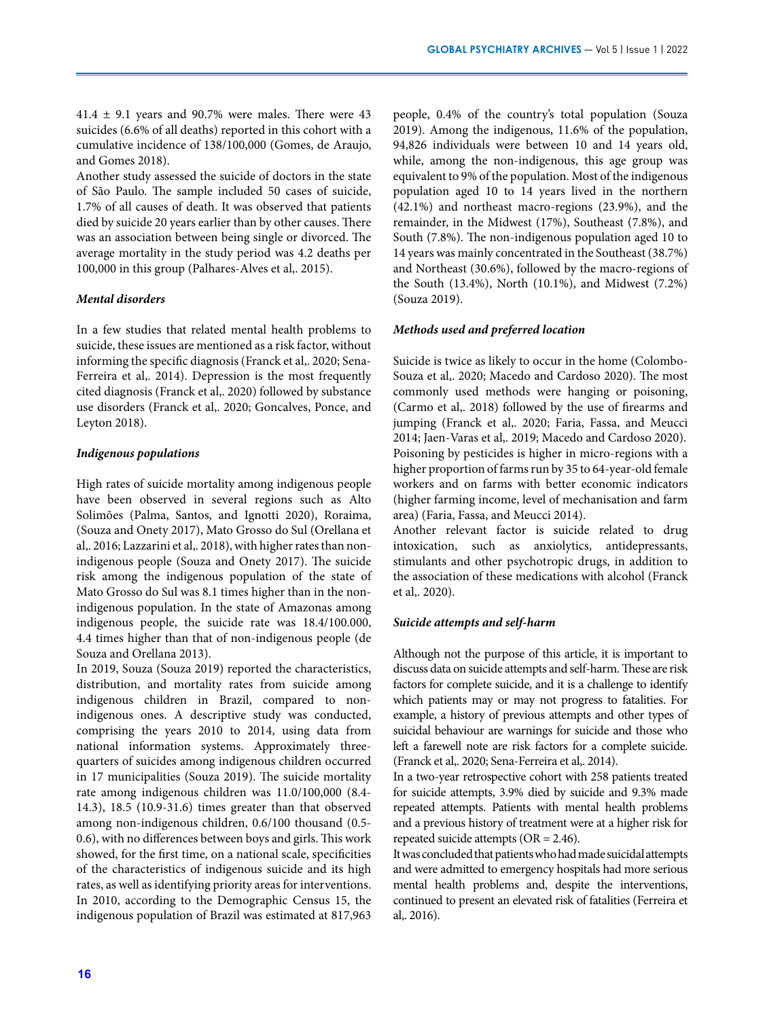41.4  $\pm$  9.1 years and 90.7% were males. There were 43 suicides (6.6% of all deaths) reported in this cohort with a cumulative incidence of 138/100,000 (Gomes, de Araujo, and Gomes 2018).

Another study assessed the suicide of doctors in the state of São Paulo. The sample included 50 cases of suicide, 1.7% of all causes of death. It was observed that patients died by suicide 20 years earlier than by other causes. There was an association between being single or divorced. The average mortality in the study period was 4.2 deaths per 100,000 in this group (Palhares-Alves et al,. 2015).

#### *Mental disorders*

In a few studies that related mental health problems to suicide, these issues are mentioned as a risk factor, without informing the specific diagnosis (Franck et al,. 2020; Sena-Ferreira et al,. 2014). Depression is the most frequently cited diagnosis (Franck et al,. 2020) followed by substance use disorders (Franck et al,. 2020; Goncalves, Ponce, and Leyton 2018).

## *Indigenous populations*

High rates of suicide mortality among indigenous people have been observed in several regions such as Alto Solimões (Palma, Santos, and Ignotti 2020), Roraima, (Souza and Onety 2017), Mato Grosso do Sul (Orellana et al,. 2016; Lazzarini et al,. 2018), with higher rates than nonindigenous people (Souza and Onety 2017). The suicide risk among the indigenous population of the state of Mato Grosso do Sul was 8.1 times higher than in the nonindigenous population. In the state of Amazonas among indigenous people, the suicide rate was 18.4/100.000, 4.4 times higher than that of non-indigenous people (de Souza and Orellana 2013).

In 2019, Souza (Souza 2019) reported the characteristics, distribution, and mortality rates from suicide among indigenous children in Brazil, compared to nonindigenous ones. A descriptive study was conducted, comprising the years 2010 to 2014, using data from national information systems. Approximately threequarters of suicides among indigenous children occurred in 17 municipalities (Souza 2019). The suicide mortality rate among indigenous children was 11.0/100,000 (8.4- 14.3), 18.5 (10.9-31.6) times greater than that observed among non-indigenous children, 0.6/100 thousand (0.5- 0.6), with no differences between boys and girls. This work showed, for the first time, on a national scale, specificities of the characteristics of indigenous suicide and its high rates, as well as identifying priority areas for interventions. In 2010, according to the Demographic Census 15, the indigenous population of Brazil was estimated at 817,963

people, 0.4% of the country's total population (Souza 2019). Among the indigenous, 11.6% of the population, 94,826 individuals were between 10 and 14 years old, while, among the non-indigenous, this age group was equivalent to 9% of the population. Most of the indigenous population aged 10 to 14 years lived in the northern (42.1%) and northeast macro-regions (23.9%), and the remainder, in the Midwest (17%), Southeast (7.8%), and South (7.8%). The non-indigenous population aged 10 to 14 years was mainly concentrated in the Southeast (38.7%) and Northeast (30.6%), followed by the macro-regions of the South (13.4%), North (10.1%), and Midwest (7.2%) (Souza 2019).

#### *Methods used and preferred location*

Suicide is twice as likely to occur in the home (Colombo-Souza et al,. 2020; Macedo and Cardoso 2020). The most commonly used methods were hanging or poisoning, (Carmo et al,. 2018) followed by the use of firearms and jumping (Franck et al,. 2020; Faria, Fassa, and Meucci 2014; Jaen-Varas et al,. 2019; Macedo and Cardoso 2020). Poisoning by pesticides is higher in micro-regions with a higher proportion of farms run by 35 to 64-year-old female workers and on farms with better economic indicators (higher farming income, level of mechanisation and farm area) (Faria, Fassa, and Meucci 2014).

Another relevant factor is suicide related to drug intoxication, such as anxiolytics, antidepressants, stimulants and other psychotropic drugs, in addition to the association of these medications with alcohol (Franck et al,. 2020).

#### *Suicide attempts and self-harm*

Although not the purpose of this article, it is important to discuss data on suicide attempts and self-harm. These are risk factors for complete suicide, and it is a challenge to identify which patients may or may not progress to fatalities. For example, a history of previous attempts and other types of suicidal behaviour are warnings for suicide and those who left a farewell note are risk factors for a complete suicide. (Franck et al,. 2020; Sena-Ferreira et al,. 2014).

In a two-year retrospective cohort with 258 patients treated for suicide attempts, 3.9% died by suicide and 9.3% made repeated attempts. Patients with mental health problems and a previous history of treatment were at a higher risk for repeated suicide attempts (OR = 2.46).

It was concluded that patients who had made suicidal attempts and were admitted to emergency hospitals had more serious mental health problems and, despite the interventions, continued to present an elevated risk of fatalities (Ferreira et al,. 2016).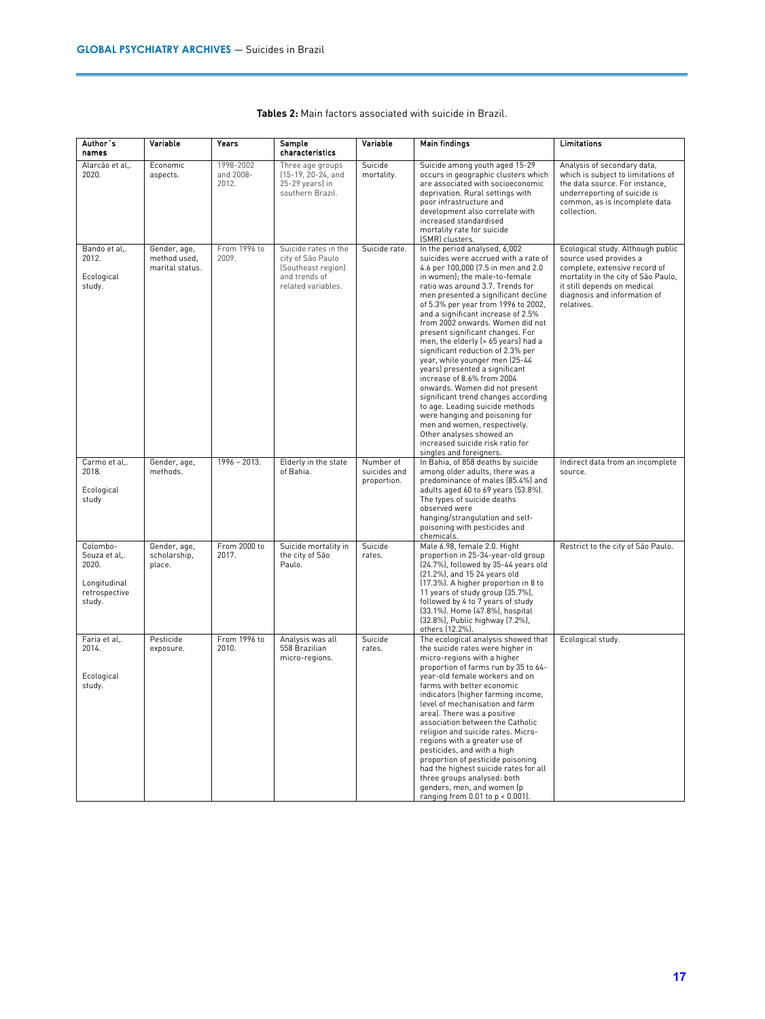| Author's<br>names                                                           | Variable                                        | Years                           | Sample<br>characteristics                                                                              | Variable                                 | <b>Main findings</b>                                                                                                                                                                                                                                                                                                                                                                                                                                                                                                                                                                                                                                                                                                                                                                                                                 | Limitations                                                                                                                                                                                                      |
|-----------------------------------------------------------------------------|-------------------------------------------------|---------------------------------|--------------------------------------------------------------------------------------------------------|------------------------------------------|--------------------------------------------------------------------------------------------------------------------------------------------------------------------------------------------------------------------------------------------------------------------------------------------------------------------------------------------------------------------------------------------------------------------------------------------------------------------------------------------------------------------------------------------------------------------------------------------------------------------------------------------------------------------------------------------------------------------------------------------------------------------------------------------------------------------------------------|------------------------------------------------------------------------------------------------------------------------------------------------------------------------------------------------------------------|
| Alarcão et al<br>2020.                                                      | Economic<br>aspects.                            | 1998-2002<br>and 2008-<br>2012. | Three age groups<br>(15-19, 20-24, and<br>25-29 years) in<br>southern Brazil.                          | Suicide<br>mortality.                    | Suicide among youth aged 15-29<br>occurs in geographic clusters which<br>are associated with socioeconomic<br>deprivation. Rural settings with<br>poor infrastructure and<br>development also correlate with<br>increased standardised<br>mortality rate for suicide<br>(SMR) clusters.                                                                                                                                                                                                                                                                                                                                                                                                                                                                                                                                              | Analysis of secondary data,<br>which is subject to limitations of<br>the data source. For instance,<br>underreporting of suicide is<br>common, as is incomplete data<br>collection.                              |
| Bando et al<br>2012.<br>Ecological<br>study.                                | Gender, age,<br>method used,<br>marital status. | From 1996 to<br>2009.           | Suicide rates in the<br>city of São Paulo<br>(Southeast region)<br>and trends of<br>related variables. | Suicide rate.                            | In the period analysed, 6,002<br>suicides were accrued with a rate of<br>4.6 per 100,000 (7.5 in men and 2.0<br>in women); the male-to-female<br>ratio was around 3.7. Trends for<br>men presented a significant decline<br>of 5.3% per year from 1996 to 2002,<br>and a significant increase of 2.5%<br>from 2002 onwards. Women did not<br>present significant changes. For<br>men, the elderly (> 65 years) had a<br>significant reduction of 2.3% per<br>year, while younger men (25-44<br>years) presented a significant<br>increase of 8.6% from 2004<br>onwards. Women did not present<br>significant trend changes according<br>to age. Leading suicide methods<br>were hanging and poisoning for<br>men and women, respectively.<br>Other analyses showed an<br>increased suicide risk ratio for<br>singles and foreigners. | Ecological study. Although public<br>source used provides a<br>complete, extensive record of<br>mortality in the city of São Paulo,<br>it still depends on medical<br>diagnosis and information of<br>relatives. |
| Carmo et al<br>2018.<br>Ecological<br>study                                 | Gender, age,<br>methods.                        | $1996 - 2013.$                  | Elderly in the state<br>of Bahia.                                                                      | Number of<br>suicides and<br>proportion. | In Bahia, of 858 deaths by suicide<br>among older adults, there was a<br>predominance of males (85.4%) and<br>adults aged 60 to 69 years (53.8%).<br>The types of suicide deaths<br>observed were<br>hanging/strangulation and self-<br>poisoning with pesticides and<br>chemicals.                                                                                                                                                                                                                                                                                                                                                                                                                                                                                                                                                  | Indirect data from an incomplete<br>source.                                                                                                                                                                      |
| Colombo-<br>Souza et al<br>2020.<br>Longitudinal<br>retrospective<br>study. | Gender, age,<br>scholarship,<br>place.          | From 2000 to<br>2017.           | Suicide mortality in<br>the city of São<br>Paulo.                                                      | Suicide<br>rates.                        | Male 6.98, female 2.0. Hight<br>proportion in 25-34-year-old group<br>(24.7%), followed by 35-44 years old<br>(21.2%), and 15 24 years old<br>(17.3%). A higher proportion in 8 to<br>11 years of study group (35.7%),<br>followed by 4 to 7 years of study<br>(33.1%). Home (47.8%), hospital<br>(32.8%), Public highway (7.2%),<br>others (12.2%).                                                                                                                                                                                                                                                                                                                                                                                                                                                                                 | Restrict to the city of São Paulo.                                                                                                                                                                               |
| Faria et al,.<br>2014.<br>Ecological<br>study.                              | Pesticide<br>exposure.                          | From 1996 to<br>2010.           | Analysis was all<br>558 Brazilian<br>micro-regions.                                                    | Suicide<br>rates.                        | The ecological analysis showed that<br>the suicide rates were higher in<br>micro-regions with a higher<br>proportion of farms run by 35 to 64-<br>year-old female workers and on<br>farms with better economic<br>indicators (higher farming income,<br>level of mechanisation and farm<br>area). There was a positive<br>association between the Catholic<br>religion and suicide rates. Micro-<br>regions with a greater use of<br>pesticides, and with a high<br>proportion of pesticide poisoning<br>had the highest suicide rates for all<br>three groups analysed: both<br>genders, men, and women (p<br>ranging from $0.01$ to $p < 0.001$ ).                                                                                                                                                                                 | Ecological study.                                                                                                                                                                                                |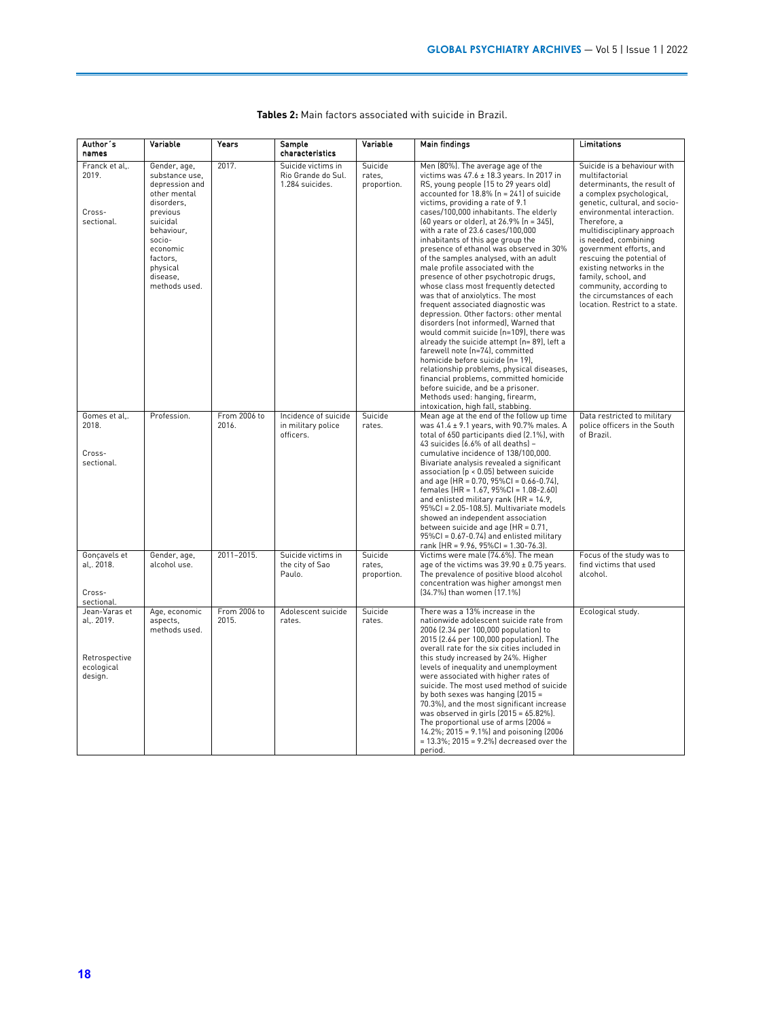| Author's<br>names                                                     | Variable                                                                                                                                                                                        | Years                 | Sample<br>characteristics                                   | Variable                         | Main findings                                                                                                                                                                                                                                                                                                                                                                                                                                                                                                                                                                                                                                                                                                                                                                                                                                                                                                                                                                                                                                                                                                               | Limitations                                                                                                                                                                                                                                                                                                                                                                                                                                        |
|-----------------------------------------------------------------------|-------------------------------------------------------------------------------------------------------------------------------------------------------------------------------------------------|-----------------------|-------------------------------------------------------------|----------------------------------|-----------------------------------------------------------------------------------------------------------------------------------------------------------------------------------------------------------------------------------------------------------------------------------------------------------------------------------------------------------------------------------------------------------------------------------------------------------------------------------------------------------------------------------------------------------------------------------------------------------------------------------------------------------------------------------------------------------------------------------------------------------------------------------------------------------------------------------------------------------------------------------------------------------------------------------------------------------------------------------------------------------------------------------------------------------------------------------------------------------------------------|----------------------------------------------------------------------------------------------------------------------------------------------------------------------------------------------------------------------------------------------------------------------------------------------------------------------------------------------------------------------------------------------------------------------------------------------------|
| Franck et al,.<br>2019.<br>Cross-<br>sectional.                       | Gender, age,<br>substance use,<br>depression and<br>other mental<br>disorders,<br>previous<br>suicidal<br>behaviour,<br>socio-<br>economic<br>factors,<br>physical<br>disease,<br>methods used. | 2017.                 | Suicide victims in<br>Rio Grande do Sul.<br>1.284 suicides. | Suicide<br>rates,<br>proportion. | Men (80%). The average age of the<br>victims was $47.6 \pm 18.3$ years. In 2017 in<br>RS, young people (15 to 29 years old)<br>accounted for 18.8% (n = 241) of suicide<br>victims, providing a rate of 9.1<br>cases/100,000 inhabitants. The elderly<br>(60 years or older), at 26.9% (n = 345),<br>with a rate of 23.6 cases/100,000<br>inhabitants of this age group the<br>presence of ethanol was observed in 30%<br>of the samples analysed, with an adult<br>male profile associated with the<br>presence of other psychotropic drugs,<br>whose class most frequently detected<br>was that of anxiolytics. The most<br>frequent associated diagnostic was<br>depression. Other factors: other mental<br>disorders (not informed), Warned that<br>would commit suicide (n=109), there was<br>already the suicide attempt (n= 89), left a<br>farewell note (n=74), committed<br>homicide before suicide (n= 19).<br>relationship problems, physical diseases,<br>financial problems, committed homicide<br>before suicide, and be a prisoner.<br>Methods used: hanging, firearm,<br>intoxication, high fall, stabbing. | Suicide is a behaviour with<br>multifactorial<br>determinants, the result of<br>a complex psychological,<br>genetic, cultural, and socio-<br>environmental interaction.<br>Therefore, a<br>multidisciplinary approach<br>is needed, combining<br>government efforts, and<br>rescuing the potential of<br>existing networks in the<br>family, school, and<br>community, according to<br>the circumstances of each<br>location. Restrict to a state. |
| Gomes et al,.<br>2018.<br>Cross-<br>sectional.                        | Profession.                                                                                                                                                                                     | From 2006 to<br>2016. | Incidence of suicide<br>in military police<br>officers.     | Suicide<br>rates.                | Mean age at the end of the follow up time<br>was $41.4 \pm 9.1$ years, with 90.7% males. A<br>total of 650 participants died (2.1%), with<br>43 suicides (6.6% of all deaths) -<br>cumulative incidence of 138/100,000.<br>Bivariate analysis revealed a significant<br>association (p < 0.05) between suicide<br>and age $(HR = 0.70, 95\%CI = 0.66 - 0.74)$ ,<br>females (HR = 1.67, 95%Cl = 1.08-2.60)<br>and enlisted military rank $(HR = 14.9)$ ,<br>95%Cl = 2.05-108.5). Multivariate models<br>showed an independent association<br>between suicide and age $(HR = 0.71)$ ,<br>$95\%$ CI = 0.67-0.74) and enlisted military<br>rank (HR = 9.96, 95%CI = 1.30-76.3).                                                                                                                                                                                                                                                                                                                                                                                                                                                 | Data restricted to military<br>police officers in the South<br>of Brazil.                                                                                                                                                                                                                                                                                                                                                                          |
| Goncavels et<br>al,. 2018.<br>Cross-<br>sectional.                    | Gender, age,<br>alcohol use.                                                                                                                                                                    | 2011-2015.            | Suicide victims in<br>the city of Sao<br>Paulo.             | Suicide<br>rates.<br>proportion. | Victims were male [74.6%]. The mean<br>age of the victims was $39.90 \pm 0.75$ years.<br>The prevalence of positive blood alcohol<br>concentration was higher amongst men<br>(34.7%) than women (17.1%)                                                                                                                                                                                                                                                                                                                                                                                                                                                                                                                                                                                                                                                                                                                                                                                                                                                                                                                     | Focus of the study was to<br>find victims that used<br>alcohol.                                                                                                                                                                                                                                                                                                                                                                                    |
| Jean-Varas et<br>al., 2019.<br>Retrospective<br>ecological<br>design. | Age, economic<br>aspects,<br>methods used.                                                                                                                                                      | From 2006 to<br>2015. | Adolescent suicide<br>rates.                                | Suicide<br>rates.                | There was a 13% increase in the<br>nationwide adolescent suicide rate from<br>2006 (2.34 per 100,000 population) to<br>2015 (2.64 per 100,000 population). The<br>overall rate for the six cities included in<br>this study increased by 24%. Higher<br>levels of inequality and unemployment<br>were associated with higher rates of<br>suicide. The most used method of suicide<br>by both sexes was hanging (2015 =<br>70.3%), and the most significant increase<br>was observed in girls $[2015 = 65.82\%]$ .<br>The proportional use of arms (2006 =<br>$14.2\%$ ; 2015 = 9.1%) and poisoning (2006)<br>$= 13.3\%$ ; 2015 = 9.2%) decreased over the<br>period.                                                                                                                                                                                                                                                                                                                                                                                                                                                        | Ecological study.                                                                                                                                                                                                                                                                                                                                                                                                                                  |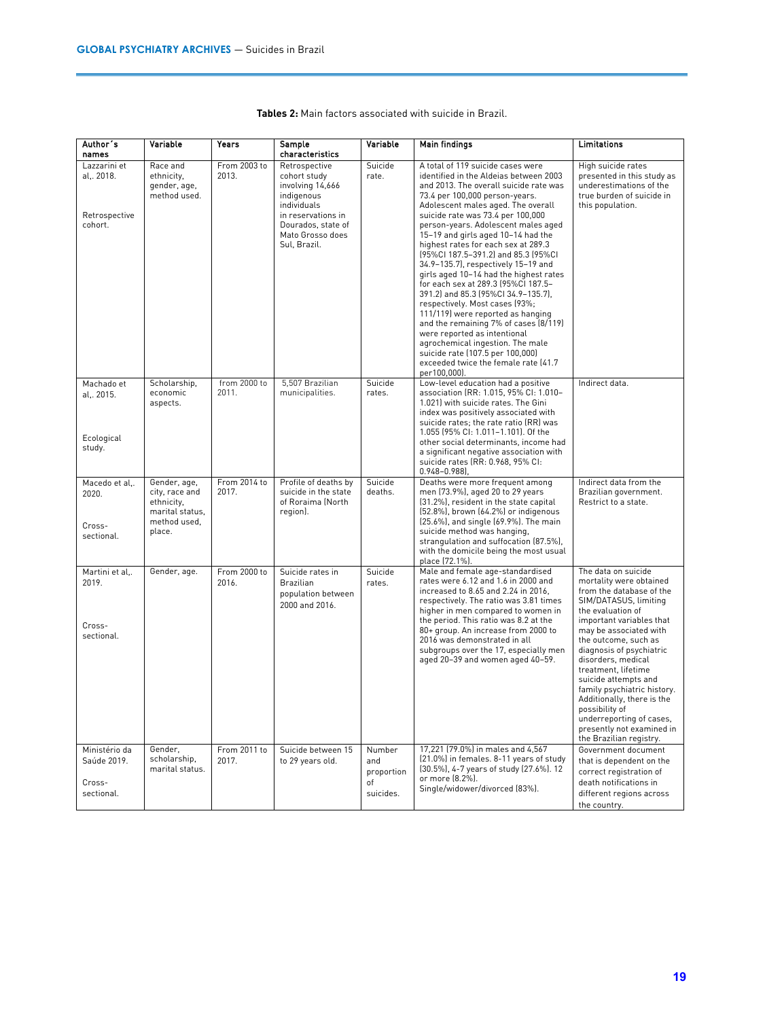| Author's                                                       | Variable                                                                                  | Years                 | Sample                                                                                                                                                                            | Variable                                       | Main findings                                                                                                                                                                                                                                                                                                                                                                                                                                                                                                                                                                                                                                                                                                                                                                                                                                | Limitations                                                                                                                                                                                                                                                                                                                                                                                                                                                                |
|----------------------------------------------------------------|-------------------------------------------------------------------------------------------|-----------------------|-----------------------------------------------------------------------------------------------------------------------------------------------------------------------------------|------------------------------------------------|----------------------------------------------------------------------------------------------------------------------------------------------------------------------------------------------------------------------------------------------------------------------------------------------------------------------------------------------------------------------------------------------------------------------------------------------------------------------------------------------------------------------------------------------------------------------------------------------------------------------------------------------------------------------------------------------------------------------------------------------------------------------------------------------------------------------------------------------|----------------------------------------------------------------------------------------------------------------------------------------------------------------------------------------------------------------------------------------------------------------------------------------------------------------------------------------------------------------------------------------------------------------------------------------------------------------------------|
| names<br>Lazzarini et<br>al, 2018.<br>Retrospective<br>cohort. | Race and<br>ethnicity,<br>gender, age,<br>method used.                                    | From 2003 to<br>2013. | characteristics<br>Retrospective<br>cohort study<br>involving 14,666<br>indigenous<br>individuals<br>in reservations in<br>Dourados, state of<br>Mato Grosso does<br>Sul, Brazil. | Suicide<br>rate.                               | A total of 119 suicide cases were<br>identified in the Aldeias between 2003<br>and 2013. The overall suicide rate was<br>73.4 per 100,000 person-years.<br>Adolescent males aged. The overall<br>suicide rate was 73.4 per 100,000<br>person-years. Adolescent males aged<br>15-19 and girls aged 10-14 had the<br>highest rates for each sex at 289.3<br>(95%Cl 187.5-391.2) and 85.3 (95%Cl<br>34.9-135.7), respectively 15-19 and<br>girls aged 10-14 had the highest rates<br>for each sex at 289.3 (95%Cl 187.5-<br>391.2) and 85.3 (95%CI 34.9-135.7),<br>respectively. Most cases (93%;<br>111/119) were reported as hanging<br>and the remaining 7% of cases (8/119)<br>were reported as intentional<br>agrochemical ingestion. The male<br>suicide rate (107.5 per 100,000)<br>exceeded twice the female rate (41.7<br>per100,000). | High suicide rates<br>presented in this study as<br>underestimations of the<br>true burden of suicide in<br>this population.                                                                                                                                                                                                                                                                                                                                               |
| Machado et<br>al,. 2015.<br>Ecological<br>study.               | Scholarship,<br>economic<br>aspects.                                                      | from 2000 to<br>2011. | 5,507 Brazilian<br>municipalities.                                                                                                                                                | Suicide<br>rates.                              | Low-level education had a positive<br>association (RR: 1.015, 95% CI: 1.010-<br>1.021) with suicide rates. The Gini<br>index was positively associated with<br>suicide rates; the rate ratio (RR) was<br>1.055 (95% CI: 1.011-1.101). Of the<br>other social determinants, income had<br>a significant negative association with<br>suicide rates (RR: 0.968, 95% CI:<br>$0.948 - 0.988$                                                                                                                                                                                                                                                                                                                                                                                                                                                     | Indirect data.                                                                                                                                                                                                                                                                                                                                                                                                                                                             |
| Macedo et al,.<br>2020.<br>Cross-<br>sectional.                | Gender, age,<br>city, race and<br>ethnicity,<br>marital status,<br>method used,<br>place. | From 2014 to<br>2017. | Profile of deaths by<br>suicide in the state<br>of Roraima (North<br>region).                                                                                                     | Suicide<br>deaths.                             | Deaths were more frequent among<br>men (73.9%), aged 20 to 29 years<br>(31.2%), resident in the state capital<br>(52.8%), brown (64.2%) or indigenous<br>(25.6%), and single (69.9%). The main<br>suicide method was hanging,<br>strangulation and suffocation (87.5%),<br>with the domicile being the most usual<br>place (72.1%).                                                                                                                                                                                                                                                                                                                                                                                                                                                                                                          | Indirect data from the<br>Brazilian government.<br>Restrict to a state.                                                                                                                                                                                                                                                                                                                                                                                                    |
| Martini et al<br>2019.<br>Cross-<br>sectional.                 | Gender, age.                                                                              | From 2000 to<br>2016. | Suicide rates in<br><b>Brazilian</b><br>population between<br>2000 and 2016.                                                                                                      | Suicide<br>rates.                              | Male and female age-standardised<br>rates were 6.12 and 1.6 in 2000 and<br>increased to 8.65 and 2.24 in 2016,<br>respectively. The ratio was 3.81 times<br>higher in men compared to women in<br>the period. This ratio was 8.2 at the<br>80+ group. An increase from 2000 to<br>2016 was demonstrated in all<br>subgroups over the 17, especially men<br>aged 20-39 and women aged 40-59.                                                                                                                                                                                                                                                                                                                                                                                                                                                  | The data on suicide<br>mortality were obtained<br>from the database of the<br>SIM/DATASUS, limiting<br>the evaluation of<br>important variables that<br>may be associated with<br>the outcome, such as<br>diagnosis of psychiatric<br>disorders, medical<br>treatment, lifetime<br>suicide attempts and<br>family psychiatric history.<br>Additionally, there is the<br>possibility of<br>underreporting of cases,<br>presently not examined in<br>the Brazilian registry. |
| Ministério da<br>Saúde 2019.<br>Cross-<br>sectional.           | Gender,<br>scholarship,<br>marital status.                                                | From 2011 to<br>2017. | Suicide between 15<br>to 29 years old.                                                                                                                                            | Number<br>and<br>proportion<br>οf<br>suicides. | 17,221 (79.0%) in males and 4,567<br>(21.0%) in females. 8-11 years of study<br>[30.5%], 4-7 years of study [27.6%]. 12<br>or more (8.2%).<br>Single/widower/divorced (83%).                                                                                                                                                                                                                                                                                                                                                                                                                                                                                                                                                                                                                                                                 | Government document<br>that is dependent on the<br>correct registration of<br>death notifications in<br>different regions across<br>the country.                                                                                                                                                                                                                                                                                                                           |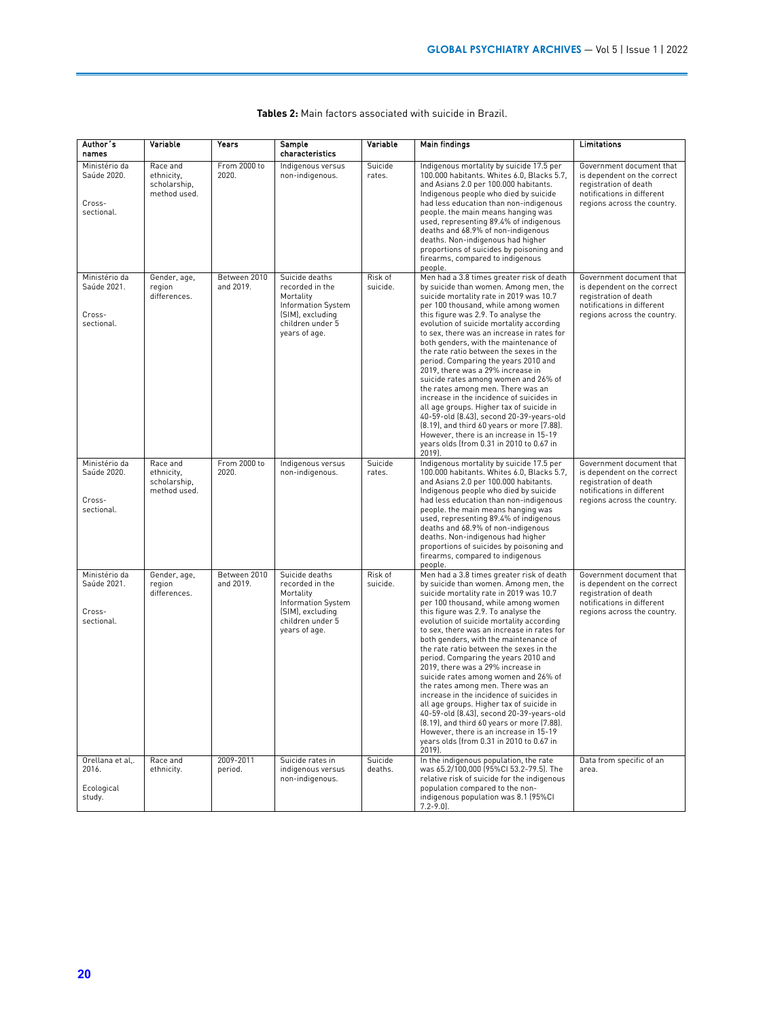| Author's<br>names                                    | Variable                                               | Years                     | Sample<br>characteristics                                                                                                     | Variable            | <b>Main findings</b>                                                                                                                                                                                                                                                                                                                                                                                                                                                                                                                                                                                                                                                                                                                                                                                                                  | Limitations                                                                                                                                   |
|------------------------------------------------------|--------------------------------------------------------|---------------------------|-------------------------------------------------------------------------------------------------------------------------------|---------------------|---------------------------------------------------------------------------------------------------------------------------------------------------------------------------------------------------------------------------------------------------------------------------------------------------------------------------------------------------------------------------------------------------------------------------------------------------------------------------------------------------------------------------------------------------------------------------------------------------------------------------------------------------------------------------------------------------------------------------------------------------------------------------------------------------------------------------------------|-----------------------------------------------------------------------------------------------------------------------------------------------|
| Ministério da<br>Saúde 2020.<br>Cross-<br>sectional. | Race and<br>ethnicity,<br>scholarship,<br>method used. | From 2000 to<br>2020.     | Indigenous versus<br>non-indigenous.                                                                                          | Suicide<br>rates.   | Indigenous mortality by suicide 17.5 per<br>100.000 habitants. Whites 6.0, Blacks 5.7,<br>and Asians 2.0 per 100.000 habitants.<br>Indigenous people who died by suicide<br>had less education than non-indigenous<br>people. the main means hanging was<br>used, representing 89.4% of indigenous<br>deaths and 68.9% of non-indigenous<br>deaths. Non-indigenous had higher<br>proportions of suicides by poisoning and<br>firearms, compared to indigenous<br>people.                                                                                                                                                                                                                                                                                                                                                              | Government document that<br>is dependent on the correct<br>registration of death<br>notifications in different<br>regions across the country. |
| Ministério da<br>Saúde 2021.<br>Cross-<br>sectional. | Gender, age,<br>region<br>differences.                 | Between 2010<br>and 2019. | Suicide deaths<br>recorded in the<br>Mortality<br>Information System<br>(SIM), excluding<br>children under 5<br>years of age. | Risk of<br>suicide. | Men had a 3.8 times greater risk of death<br>by suicide than women. Among men, the<br>suicide mortality rate in 2019 was 10.7<br>per 100 thousand, while among women<br>this figure was 2.9. To analyse the<br>evolution of suicide mortality according<br>to sex, there was an increase in rates for<br>both genders, with the maintenance of<br>the rate ratio between the sexes in the<br>period. Comparing the years 2010 and<br>2019, there was a 29% increase in<br>suicide rates among women and 26% of<br>the rates among men. There was an<br>increase in the incidence of suicides in<br>all age groups. Higher tax of suicide in<br>40-59-old (8.43), second 20-39-years-old<br>(8.19), and third 60 years or more (7.88).<br>However, there is an increase in 15-19<br>years olds (from 0.31 in 2010 to 0.67 in<br>2019). | Government document that<br>is dependent on the correct<br>registration of death<br>notifications in different<br>regions across the country. |
| Ministério da<br>Saúde 2020.<br>Cross-<br>sectional. | Race and<br>ethnicity,<br>scholarship,<br>method used. | From 2000 to<br>2020.     | Indigenous versus<br>non-indigenous.                                                                                          | Suicide<br>rates.   | Indigenous mortality by suicide 17.5 per<br>100.000 habitants, Whites 6.0, Blacks 5.7.<br>and Asians 2.0 per 100.000 habitants.<br>Indigenous people who died by suicide<br>had less education than non-indigenous<br>people. the main means hanging was<br>used, representing 89.4% of indigenous<br>deaths and 68.9% of non-indigenous<br>deaths. Non-indigenous had higher<br>proportions of suicides by poisoning and<br>firearms, compared to indigenous<br>people.                                                                                                                                                                                                                                                                                                                                                              | Government document that<br>is dependent on the correct<br>registration of death<br>notifications in different<br>regions across the country. |
| Ministério da<br>Saúde 2021.<br>Cross-<br>sectional. | Gender, age,<br>region<br>differences.                 | Between 2010<br>and 2019. | Suicide deaths<br>recorded in the<br>Mortality<br>Information System<br>(SIM), excluding<br>children under 5<br>years of age. | Risk of<br>suicide. | Men had a 3.8 times greater risk of death<br>by suicide than women. Among men, the<br>suicide mortality rate in 2019 was 10.7<br>per 100 thousand, while among women<br>this figure was 2.9. To analyse the<br>evolution of suicide mortality according<br>to sex, there was an increase in rates for<br>both genders, with the maintenance of<br>the rate ratio between the sexes in the<br>period. Comparing the years 2010 and<br>2019, there was a 29% increase in<br>suicide rates among women and 26% of<br>the rates among men. There was an<br>increase in the incidence of suicides in<br>all age groups. Higher tax of suicide in<br>40-59-old (8.43), second 20-39-years-old<br>(8.19), and third 60 years or more (7.88).<br>However, there is an increase in 15-19<br>years olds (from 0.31 in 2010 to 0.67 in<br>2019). | Government document that<br>is dependent on the correct<br>registration of death<br>notifications in different<br>regions across the country. |
| Orellana et al,.<br>2016.<br>Ecological<br>study.    | Race and<br>ethnicity.                                 | 2009-2011<br>period.      | Suicide rates in<br>indigenous versus<br>non-indigenous.                                                                      | Suicide<br>deaths.  | In the indigenous population, the rate<br>was 65.2/100,000 [95%CI 53.2-79.5]. The<br>relative risk of suicide for the indigenous<br>population compared to the non-<br>indigenous population was 8.1 (95%CI<br>$7.2 - 9.01$ .                                                                                                                                                                                                                                                                                                                                                                                                                                                                                                                                                                                                         | Data from specific of an<br>area.                                                                                                             |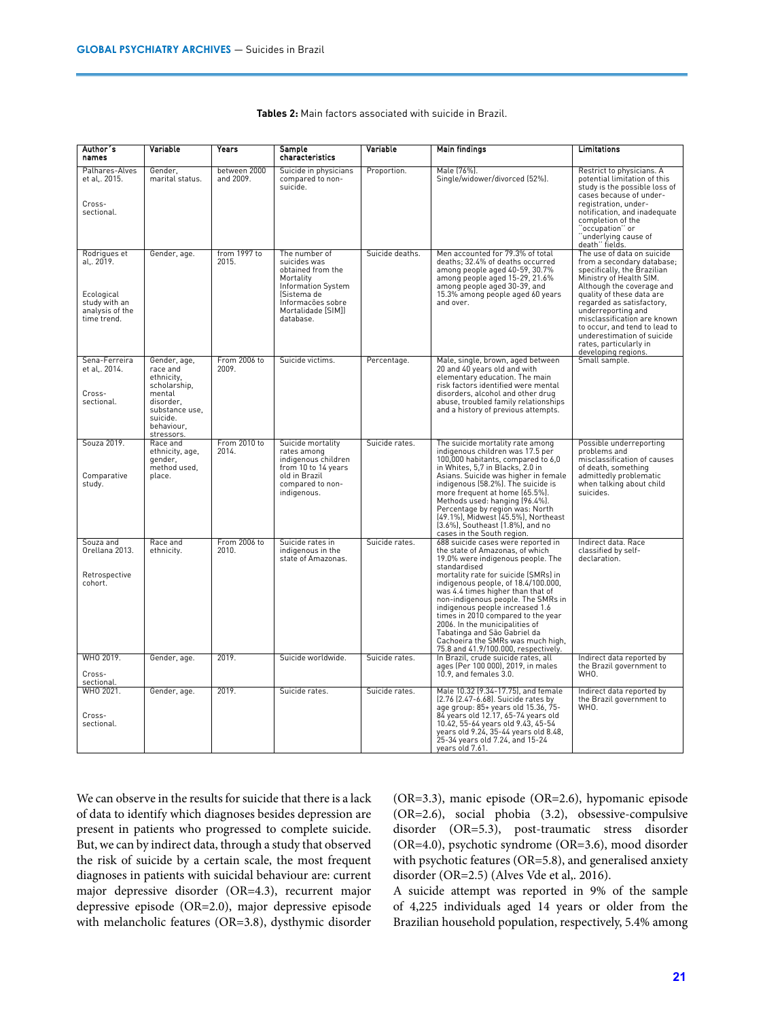| Author's<br>names                                                                           | Variable                                                                                                                                | Years                     | Sample<br>characteristics                                                                                                                                    | Variable        | <b>Main findings</b>                                                                                                                                                                                                                                                                                                                                                                                                                                                                                         | Limitations                                                                                                                                                                                                                                                                                                                                                                    |
|---------------------------------------------------------------------------------------------|-----------------------------------------------------------------------------------------------------------------------------------------|---------------------------|--------------------------------------------------------------------------------------------------------------------------------------------------------------|-----------------|--------------------------------------------------------------------------------------------------------------------------------------------------------------------------------------------------------------------------------------------------------------------------------------------------------------------------------------------------------------------------------------------------------------------------------------------------------------------------------------------------------------|--------------------------------------------------------------------------------------------------------------------------------------------------------------------------------------------------------------------------------------------------------------------------------------------------------------------------------------------------------------------------------|
| Palhares-Alves<br>et al., 2015.<br>Cross-<br>sectional.                                     | Gender,<br>marital status.                                                                                                              | between 2000<br>and 2009. | Suicide in physicians<br>compared to non-<br>suicide.                                                                                                        | Proportion.     | Male (76%).<br>Single/widower/divorced (52%).                                                                                                                                                                                                                                                                                                                                                                                                                                                                | Restrict to physicians. A<br>potential limitation of this<br>study is the possible loss of<br>cases because of under-<br>registration, under-<br>notification, and inadequate<br>completion of the<br>"occupation" or<br>"underlying cause of<br>death" fields.                                                                                                                |
| Rodrigues et<br>al., 2019.<br>Ecological<br>study with an<br>analysis of the<br>time trend. | Gender, age.                                                                                                                            | from 1997 to<br>2015.     | The number of<br>suicides was<br>obtained from the<br>Mortality<br>Information System<br>(Sistema de<br>Informacões sobre<br>Mortalidade [SIM]]<br>database. | Suicide deaths. | Men accounted for 79.3% of total<br>deaths; 32.4% of deaths occurred<br>among people aged 40-59, 30.7%<br>among people aged 15-29, 21.6%<br>among people aged 30-39, and<br>15.3% among people aged 60 years<br>and over.                                                                                                                                                                                                                                                                                    | The use of data on suicide<br>from a secondary database;<br>specifically, the Brazilian<br>Ministry of Health SIM.<br>Although the coverage and<br>quality of these data are<br>regarded as satisfactory,<br>underreporting and<br>misclassification are known<br>to occur, and tend to lead to<br>underestimation of suicide<br>rates, particularly in<br>developing regions. |
| Sena-Ferreira<br>et al,. 2014.<br>Cross-<br>sectional.                                      | Gender, age,<br>race and<br>ethnicity,<br>scholarship,<br>mental<br>disorder.<br>substance use,<br>suicide.<br>behaviour,<br>stressors. | From 2006 to<br>2009.     | Suicide victims.                                                                                                                                             | Percentage.     | Male, single, brown, aged between<br>20 and 40 years old and with<br>elementary education. The main<br>risk factors identified were mental<br>disorders, alcohol and other drug<br>abuse, troubled family relationships<br>and a history of previous attempts.                                                                                                                                                                                                                                               | Small sample.                                                                                                                                                                                                                                                                                                                                                                  |
| Souza 2019.<br>Comparative<br>study.                                                        | Race and<br>ethnicity, age,<br>gender,<br>method used,<br>place.                                                                        | From 2010 to<br>2014.     | Suicide mortality<br>rates among<br>indigenous children<br>from 10 to 14 years<br>old in Brazil<br>compared to non-<br>indigenous.                           | Suicide rates.  | The suicide mortality rate among<br>indigenous children was 17.5 per<br>100,000 habitants, compared to 6,0<br>in Whites, 5,7 in Blacks, 2.0 in<br>Asians. Suicide was higher in female<br>indigenous (58.2%). The suicide is<br>more frequent at home (65.5%).<br>Methods used: hanging (96.4%).<br>Percentage by region was: North<br>(49.1%), Midwest (45.5%), Northeast<br>(3.6%), Southeast (1.8%), and no<br>cases in the South region.                                                                 | Possible underreporting<br>problems and<br>misclassification of causes<br>of death, something<br>admittedly problematic<br>when talking about child<br>suicides.                                                                                                                                                                                                               |
| Souza and<br>Orellana 2013.<br>Retrospective<br>cohort.                                     | Race and<br>ethnicity.                                                                                                                  | From 2006 to<br>2010.     | Suicide rates in<br>indigenous in the<br>state of Amazonas.                                                                                                  | Suicide rates.  | 688 suicide cases were reported in<br>the state of Amazonas, of which<br>19.0% were indigenous people. The<br>standardised<br>mortality rate for suicide (SMRs) in<br>indigenous people, of 18.4/100.000,<br>was 4.4 times higher than that of<br>non-indigenous people. The SMRs in<br>indigenous people increased 1.6<br>times in 2010 compared to the year<br>2006. In the municipalities of<br>Tabatinga and São Gabriel da<br>Cachoeira the SMRs was much high,<br>75.8 and 41.9/100.000, respectively. | Indirect data. Race<br>classified by self-<br>declaration.                                                                                                                                                                                                                                                                                                                     |
| WHO 2019.<br>Cross-<br>sectional.                                                           | Gender, age.                                                                                                                            | 2019.                     | Suicide worldwide.                                                                                                                                           | Suicide rates.  | In Brazil, crude suicide rates, all<br>ages (Per 100 000), 2019, in males<br>$10.9$ , and females $3.0$ .                                                                                                                                                                                                                                                                                                                                                                                                    | Indirect data reported by<br>the Brazil government to<br>WHO.                                                                                                                                                                                                                                                                                                                  |
| WHO 2021.<br>Cross-<br>sectional.                                                           | Gender, age.                                                                                                                            | 2019.                     | Suicide rates.                                                                                                                                               | Suicide rates.  | Male 10.32 (9.34-17.75), and female<br>[2.76 [2.47-6.68]. Suicide rates by<br>age group: 85+ years old 15.36, 75-<br>84 years old 12.17, 65-74 years old<br>10.42, 55-64 years old 9.43, 45-54<br>years old 9.24, 35-44 years old 8.48,<br>25-34 years old 7.24, and 15-24<br>years old 7.61.                                                                                                                                                                                                                | Indirect data reported by<br>the Brazil government to<br>WHO.                                                                                                                                                                                                                                                                                                                  |

| Tables 2: Main factors associated with suicide in Brazil. |
|-----------------------------------------------------------|
|-----------------------------------------------------------|

We can observe in the results for suicide that there is a lack of data to identify which diagnoses besides depression are present in patients who progressed to complete suicide. But, we can by indirect data, through a study that observed the risk of suicide by a certain scale, the most frequent diagnoses in patients with suicidal behaviour are: current major depressive disorder (OR=4.3), recurrent major depressive episode (OR=2.0), major depressive episode with melancholic features (OR=3.8), dysthymic disorder (OR=3.3), manic episode (OR=2.6), hypomanic episode (OR=2.6), social phobia (3.2), obsessive-compulsive disorder (OR=5.3), post-traumatic stress disorder (OR=4.0), psychotic syndrome (OR=3.6), mood disorder with psychotic features (OR=5.8), and generalised anxiety disorder (OR=2.5) (Alves Vde et al,. 2016).

A suicide attempt was reported in 9% of the sample of 4,225 individuals aged 14 years or older from the Brazilian household population, respectively, 5.4% among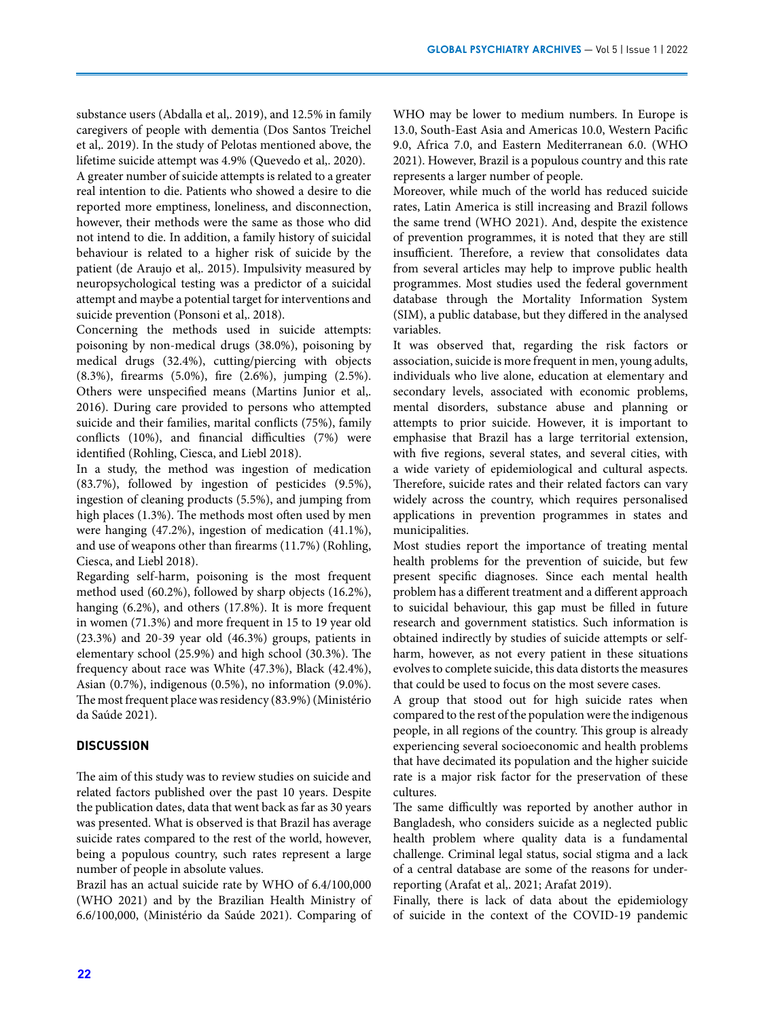substance users (Abdalla et al,. 2019), and 12.5% in family caregivers of people with dementia (Dos Santos Treichel et al,. 2019). In the study of Pelotas mentioned above, the lifetime suicide attempt was 4.9% (Quevedo et al,. 2020).

A greater number of suicide attempts is related to a greater real intention to die. Patients who showed a desire to die reported more emptiness, loneliness, and disconnection, however, their methods were the same as those who did not intend to die. In addition, a family history of suicidal behaviour is related to a higher risk of suicide by the patient (de Araujo et al,. 2015). Impulsivity measured by neuropsychological testing was a predictor of a suicidal attempt and maybe a potential target for interventions and suicide prevention (Ponsoni et al,. 2018).

Concerning the methods used in suicide attempts: poisoning by non-medical drugs (38.0%), poisoning by medical drugs (32.4%), cutting/piercing with objects (8.3%), firearms (5.0%), fire (2.6%), jumping (2.5%). Others were unspecified means (Martins Junior et al,. 2016). During care provided to persons who attempted suicide and their families, marital conflicts (75%), family conflicts (10%), and financial difficulties (7%) were identified (Rohling, Ciesca, and Liebl 2018).

In a study, the method was ingestion of medication (83.7%), followed by ingestion of pesticides (9.5%), ingestion of cleaning products (5.5%), and jumping from high places (1.3%). The methods most often used by men were hanging (47.2%), ingestion of medication (41.1%), and use of weapons other than firearms (11.7%) (Rohling, Ciesca, and Liebl 2018).

Regarding self-harm, poisoning is the most frequent method used (60.2%), followed by sharp objects (16.2%), hanging (6.2%), and others (17.8%). It is more frequent in women (71.3%) and more frequent in 15 to 19 year old (23.3%) and 20-39 year old (46.3%) groups, patients in elementary school (25.9%) and high school (30.3%). The frequency about race was White (47.3%), Black (42.4%), Asian (0.7%), indigenous (0.5%), no information (9.0%). The most frequent place was residency (83.9%) (Ministério da Saúde 2021).

# **DISCUSSION**

The aim of this study was to review studies on suicide and related factors published over the past 10 years. Despite the publication dates, data that went back as far as 30 years was presented. What is observed is that Brazil has average suicide rates compared to the rest of the world, however, being a populous country, such rates represent a large number of people in absolute values.

Brazil has an actual suicide rate by WHO of 6.4/100,000 (WHO 2021) and by the Brazilian Health Ministry of 6.6/100,000, (Ministério da Saúde 2021). Comparing of

WHO may be lower to medium numbers. In Europe is 13.0, South-East Asia and Americas 10.0, Western Pacific 9.0, Africa 7.0, and Eastern Mediterranean 6.0. (WHO 2021). However, Brazil is a populous country and this rate represents a larger number of people.

Moreover, while much of the world has reduced suicide rates, Latin America is still increasing and Brazil follows the same trend (WHO 2021). And, despite the existence of prevention programmes, it is noted that they are still insufficient. Therefore, a review that consolidates data from several articles may help to improve public health programmes. Most studies used the federal government database through the Mortality Information System (SIM), a public database, but they differed in the analysed variables.

It was observed that, regarding the risk factors or association, suicide is more frequent in men, young adults, individuals who live alone, education at elementary and secondary levels, associated with economic problems, mental disorders, substance abuse and planning or attempts to prior suicide. However, it is important to emphasise that Brazil has a large territorial extension, with five regions, several states, and several cities, with a wide variety of epidemiological and cultural aspects. Therefore, suicide rates and their related factors can vary widely across the country, which requires personalised applications in prevention programmes in states and municipalities.

Most studies report the importance of treating mental health problems for the prevention of suicide, but few present specific diagnoses. Since each mental health problem has a different treatment and a different approach to suicidal behaviour, this gap must be filled in future research and government statistics. Such information is obtained indirectly by studies of suicide attempts or selfharm, however, as not every patient in these situations evolves to complete suicide, this data distorts the measures that could be used to focus on the most severe cases.

A group that stood out for high suicide rates when compared to the rest of the population were the indigenous people, in all regions of the country. This group is already experiencing several socioeconomic and health problems that have decimated its population and the higher suicide rate is a major risk factor for the preservation of these cultures.

The same difficultly was reported by another author in Bangladesh, who considers suicide as a neglected public health problem where quality data is a fundamental challenge. Criminal legal status, social stigma and a lack of a central database are some of the reasons for underreporting (Arafat et al,. 2021; Arafat 2019).

Finally, there is lack of data about the epidemiology of suicide in the context of the COVID-19 pandemic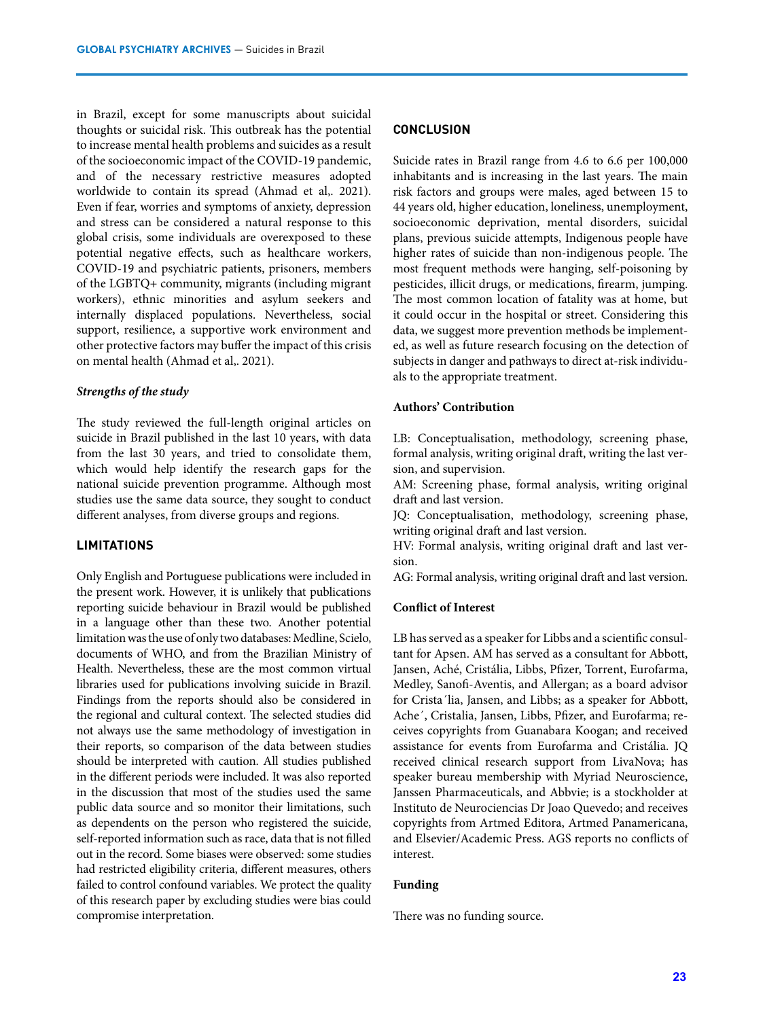in Brazil, except for some manuscripts about suicidal thoughts or suicidal risk. This outbreak has the potential to increase mental health problems and suicides as a result of the socioeconomic impact of the COVID-19 pandemic, and of the necessary restrictive measures adopted worldwide to contain its spread (Ahmad et al,. 2021). Even if fear, worries and symptoms of anxiety, depression and stress can be considered a natural response to this global crisis, some individuals are overexposed to these potential negative effects, such as healthcare workers, COVID-19 and psychiatric patients, prisoners, members of the LGBTQ+ community, migrants (including migrant workers), ethnic minorities and asylum seekers and internally displaced populations. Nevertheless, social support, resilience, a supportive work environment and other protective factors may buffer the impact of this crisis on mental health (Ahmad et al,. 2021).

#### *Strengths of the study*

The study reviewed the full-length original articles on suicide in Brazil published in the last 10 years, with data from the last 30 years, and tried to consolidate them, which would help identify the research gaps for the national suicide prevention programme. Although most studies use the same data source, they sought to conduct different analyses, from diverse groups and regions.

# **LIMITATIONS**

Only English and Portuguese publications were included in the present work. However, it is unlikely that publications reporting suicide behaviour in Brazil would be published in a language other than these two. Another potential limitation was the use of only two databases: Medline, Scielo, documents of WHO, and from the Brazilian Ministry of Health. Nevertheless, these are the most common virtual libraries used for publications involving suicide in Brazil. Findings from the reports should also be considered in the regional and cultural context. The selected studies did not always use the same methodology of investigation in their reports, so comparison of the data between studies should be interpreted with caution. All studies published in the different periods were included. It was also reported in the discussion that most of the studies used the same public data source and so monitor their limitations, such as dependents on the person who registered the suicide, self-reported information such as race, data that is not filled out in the record. Some biases were observed: some studies had restricted eligibility criteria, different measures, others failed to control confound variables. We protect the quality of this research paper by excluding studies were bias could compromise interpretation.

# **CONCLUSION**

Suicide rates in Brazil range from 4.6 to 6.6 per 100,000 inhabitants and is increasing in the last years. The main risk factors and groups were males, aged between 15 to 44 years old, higher education, loneliness, unemployment, socioeconomic deprivation, mental disorders, suicidal plans, previous suicide attempts, Indigenous people have higher rates of suicide than non-indigenous people. The most frequent methods were hanging, self-poisoning by pesticides, illicit drugs, or medications, firearm, jumping. The most common location of fatality was at home, but it could occur in the hospital or street. Considering this data, we suggest more prevention methods be implemented, as well as future research focusing on the detection of subjects in danger and pathways to direct at-risk individuals to the appropriate treatment.

#### **Authors' Contribution**

LB: Conceptualisation, methodology, screening phase, formal analysis, writing original draft, writing the last version, and supervision.

AM: Screening phase, formal analysis, writing original draft and last version.

JQ: Conceptualisation, methodology, screening phase, writing original draft and last version.

HV: Formal analysis, writing original draft and last version.

AG: Formal analysis, writing original draft and last version.

#### **Conflict of Interest**

LB has served as a speaker for Libbs and a scientific consultant for Apsen. AM has served as a consultant for Abbott, Jansen, Aché, Cristália, Libbs, Pfizer, Torrent, Eurofarma, Medley, Sanofi-Aventis, and Allergan; as a board advisor for Crista´lia, Jansen, and Libbs; as a speaker for Abbott, Ache´, Cristalia, Jansen, Libbs, Pfizer, and Eurofarma; receives copyrights from Guanabara Koogan; and received assistance for events from Eurofarma and Cristália. JQ received clinical research support from LivaNova; has speaker bureau membership with Myriad Neuroscience, Janssen Pharmaceuticals, and Abbvie; is a stockholder at Instituto de Neurociencias Dr Joao Quevedo; and receives copyrights from Artmed Editora, Artmed Panamericana, and Elsevier/Academic Press. AGS reports no conflicts of interest.

#### **Funding**

There was no funding source.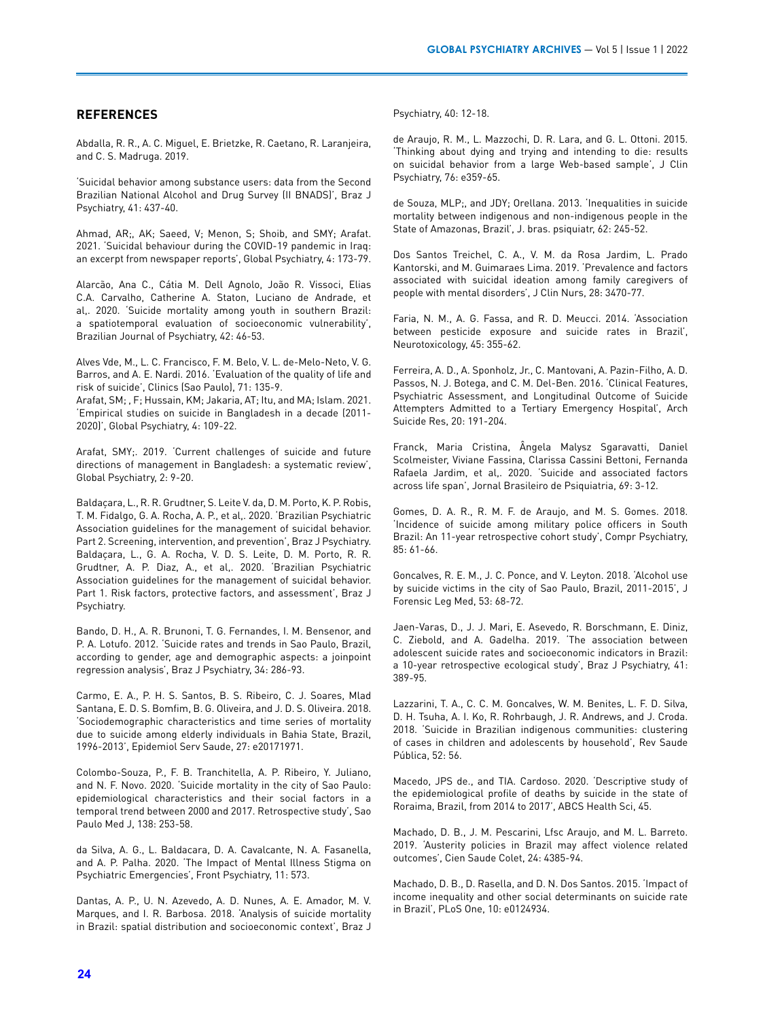## **REFERENCES**

Abdalla, R. R., A. C. Miguel, E. Brietzke, R. Caetano, R. Laranjeira, and C. S. Madruga. 2019.

'Suicidal behavior among substance users: data from the Second Brazilian National Alcohol and Drug Survey (II BNADS)', Braz J Psychiatry, 41: 437-40.

Ahmad, AR;, AK; Saeed, V; Menon, S; Shoib, and SMY; Arafat. 2021. 'Suicidal behaviour during the COVID-19 pandemic in Iraq: an excerpt from newspaper reports', Global Psychiatry, 4: 173-79.

Alarcão, Ana C., Cátia M. Dell Agnolo, João R. Vissoci, Elias C.A. Carvalho, Catherine A. Staton, Luciano de Andrade, et al,. 2020. 'Suicide mortality among youth in southern Brazil: a spatiotemporal evaluation of socioeconomic vulnerability', Brazilian Journal of Psychiatry, 42: 46-53.

Alves Vde, M., L. C. Francisco, F. M. Belo, V. L. de-Melo-Neto, V. G. Barros, and A. E. Nardi. 2016. 'Evaluation of the quality of life and risk of suicide', Clinics (Sao Paulo), 71: 135-9.

Arafat, SM; , F; Hussain, KM; Jakaria, AT; Itu, and MA; Islam. 2021. 'Empirical studies on suicide in Bangladesh in a decade (2011- 2020)', Global Psychiatry, 4: 109-22.

Arafat, SMY;. 2019. 'Current challenges of suicide and future directions of management in Bangladesh: a systematic review', Global Psychiatry, 2: 9-20.

Baldaçara, L., R. R. Grudtner, S. Leite V. da, D. M. Porto, K. P. Robis, T. M. Fidalgo, G. A. Rocha, A. P., et al,. 2020. 'Brazilian Psychiatric Association guidelines for the management of suicidal behavior. Part 2. Screening, intervention, and prevention', Braz J Psychiatry. Baldaçara, L., G. A. Rocha, V. D. S. Leite, D. M. Porto, R. R. Grudtner, A. P. Diaz, A., et al,. 2020. 'Brazilian Psychiatric Association guidelines for the management of suicidal behavior. Part 1. Risk factors, protective factors, and assessment', Braz J Psychiatry.

Bando, D. H., A. R. Brunoni, T. G. Fernandes, I. M. Bensenor, and P. A. Lotufo. 2012. 'Suicide rates and trends in Sao Paulo, Brazil, according to gender, age and demographic aspects: a joinpoint regression analysis', Braz J Psychiatry, 34: 286-93.

Carmo, E. A., P. H. S. Santos, B. S. Ribeiro, C. J. Soares, Mlad Santana, E. D. S. Bomfim, B. G. Oliveira, and J. D. S. Oliveira. 2018. 'Sociodemographic characteristics and time series of mortality due to suicide among elderly individuals in Bahia State, Brazil, 1996-2013', Epidemiol Serv Saude, 27: e20171971.

Colombo-Souza, P., F. B. Tranchitella, A. P. Ribeiro, Y. Juliano, and N. F. Novo. 2020. 'Suicide mortality in the city of Sao Paulo: epidemiological characteristics and their social factors in a temporal trend between 2000 and 2017. Retrospective study', Sao Paulo Med J, 138: 253-58.

da Silva, A. G., L. Baldacara, D. A. Cavalcante, N. A. Fasanella, and A. P. Palha. 2020. 'The Impact of Mental Illness Stigma on Psychiatric Emergencies', Front Psychiatry, 11: 573.

Dantas, A. P., U. N. Azevedo, A. D. Nunes, A. E. Amador, M. V. Marques, and I. R. Barbosa. 2018. 'Analysis of suicide mortality in Brazil: spatial distribution and socioeconomic context', Braz J Psychiatry, 40: 12-18.

de Araujo, R. M., L. Mazzochi, D. R. Lara, and G. L. Ottoni. 2015. 'Thinking about dying and trying and intending to die: results on suicidal behavior from a large Web-based sample', J Clin Psychiatry, 76: e359-65.

de Souza, MLP;, and JDY; Orellana. 2013. 'Inequalities in suicide mortality between indigenous and non-indigenous people in the State of Amazonas, Brazil', J. bras. psiquiatr, 62: 245-52.

Dos Santos Treichel, C. A., V. M. da Rosa Jardim, L. Prado Kantorski, and M. Guimaraes Lima. 2019. 'Prevalence and factors associated with suicidal ideation among family caregivers of people with mental disorders', J Clin Nurs, 28: 3470-77.

Faria, N. M., A. G. Fassa, and R. D. Meucci. 2014. 'Association between pesticide exposure and suicide rates in Brazil', Neurotoxicology, 45: 355-62.

Ferreira, A. D., A. Sponholz, Jr., C. Mantovani, A. Pazin-Filho, A. D. Passos, N. J. Botega, and C. M. Del-Ben. 2016. 'Clinical Features, Psychiatric Assessment, and Longitudinal Outcome of Suicide Attempters Admitted to a Tertiary Emergency Hospital', Arch Suicide Res, 20: 191-204.

Franck, Maria Cristina, Ângela Malysz Sgaravatti, Daniel Scolmeister, Viviane Fassina, Clarissa Cassini Bettoni, Fernanda Rafaela Jardim, et al,. 2020. 'Suicide and associated factors across life span', Jornal Brasileiro de Psiquiatria, 69: 3-12.

Gomes, D. A. R., R. M. F. de Araujo, and M. S. Gomes. 2018. 'Incidence of suicide among military police officers in South Brazil: An 11-year retrospective cohort study', Compr Psychiatry, 85: 61-66.

Goncalves, R. E. M., J. C. Ponce, and V. Leyton. 2018. 'Alcohol use by suicide victims in the city of Sao Paulo, Brazil, 2011-2015', J Forensic Leg Med, 53: 68-72.

Jaen-Varas, D., J. J. Mari, E. Asevedo, R. Borschmann, E. Diniz, C. Ziebold, and A. Gadelha. 2019. 'The association between adolescent suicide rates and socioeconomic indicators in Brazil: a 10-year retrospective ecological study', Braz J Psychiatry, 41: 389-95.

Lazzarini, T. A., C. C. M. Goncalves, W. M. Benites, L. F. D. Silva, D. H. Tsuha, A. I. Ko, R. Rohrbaugh, J. R. Andrews, and J. Croda. 2018. 'Suicide in Brazilian indigenous communities: clustering of cases in children and adolescents by household', Rev Saude Pública, 52: 56.

Macedo, JPS de., and TIA. Cardoso. 2020. 'Descriptive study of the epidemiological profile of deaths by suicide in the state of Roraima, Brazil, from 2014 to 2017', ABCS Health Sci, 45.

Machado, D. B., J. M. Pescarini, Lfsc Araujo, and M. L. Barreto. 2019. 'Austerity policies in Brazil may affect violence related outcomes', Cien Saude Colet, 24: 4385-94.

Machado, D. B., D. Rasella, and D. N. Dos Santos. 2015. 'Impact of income inequality and other social determinants on suicide rate in Brazil', PLoS One, 10: e0124934.